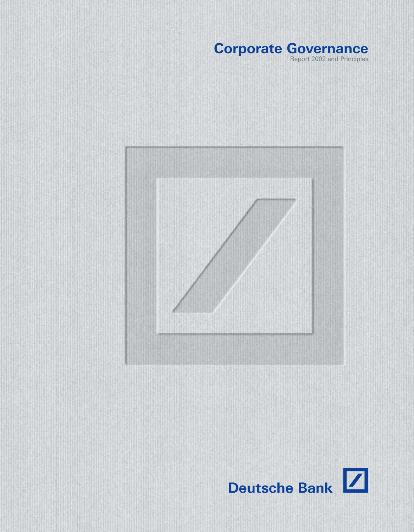### **Corporate Governance** Report 2002 and Principles



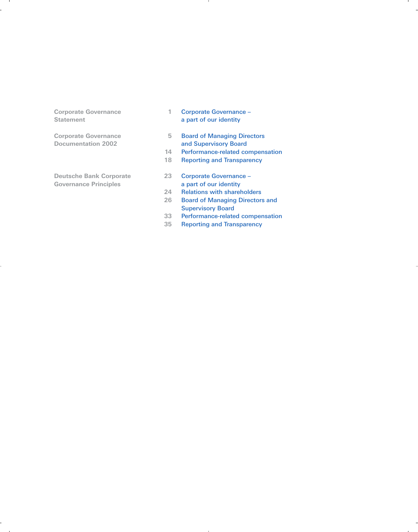- **Corporate Governance 1 Corporate Governance 1 Corporate Governance 1 Corporate Governance 1 Corporate Governance 1 Corporate Governance 1 Corporate Governance 1 Corporate Governance 1 Corporate Governance** a part of our identity
- **Corporate Governance** 5 **Board of Managing Directors**<br> **Documentation 2002 and Supervisory Board** and Supervisory Board
	- **14** Performance-related compensation
	- **18** Reporting and Transparency
- **Deutsche Bank Corporate 23** Corporate Governance Governance Principles<br> **Governance Principles**<br>
24 Relations with share
	- 24 **Relations with shareholders**<br>26 **Board of Managing Directors**
	- **26** Board of Managing Directors and Supervisory Board
	- **33** Performance-related compensation
	- **35** Reporting and Transparency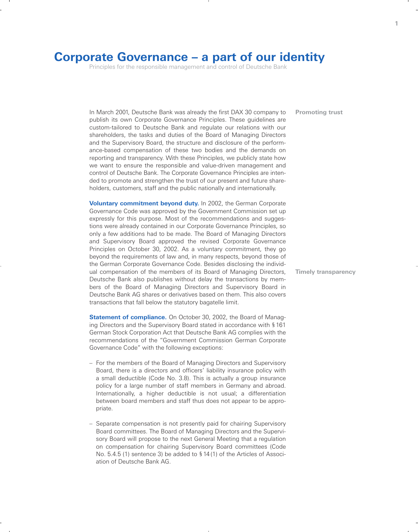## **Corporate Governance – a part of our identity**

Principles for the responsible management and control of Deutsche Bank

In March 2001, Deutsche Bank was already the first DAX 30 company to publish its own Corporate Governance Principles. These guidelines are custom-tailored to Deutsche Bank and regulate our relations with our shareholders, the tasks and duties of the Board of Managing Directors and the Supervisory Board, the structure and disclosure of the performance-based compensation of these two bodies and the demands on reporting and transparency. With these Principles, we publicly state how we want to ensure the responsible and value-driven management and control of Deutsche Bank. The Corporate Governance Principles are intended to promote and strengthen the trust of our present and future shareholders, customers, staff and the public nationally and internationally.

**Voluntary commitment beyond duty.** In 2002, the German Corporate Governance Code was approved by the Government Commission set up expressly for this purpose. Most of the recommendations and suggestions were already contained in our Corporate Governance Principles, so only a few additions had to be made. The Board of Managing Directors and Supervisory Board approved the revised Corporate Governance Principles on October 30, 2002. As a voluntary commitment, they go beyond the requirements of law and, in many respects, beyond those of the German Corporate Governance Code. Besides disclosing the individual compensation of the members of its Board of Managing Directors, Deutsche Bank also publishes without delay the transactions by members of the Board of Managing Directors and Supervisory Board in Deutsche Bank AG shares or derivatives based on them. This also covers transactions that fall below the statutory bagatelle limit.

**Statement of compliance.** On October 30, 2002, the Board of Managing Directors and the Supervisory Board stated in accordance with § 161 German Stock Corporation Act that Deutsche Bank AG complies with the recommendations of the "Government Commission German Corporate Governance Code" with the following exceptions:

- For the members of the Board of Managing Directors and Supervisory Board, there is a directors and officers' liability insurance policy with a small deductible (Code No. 3.8). This is actually a group insurance policy for a large number of staff members in Germany and abroad. Internationally, a higher deductible is not usual; a differentiation between board members and staff thus does not appear to be appropriate.
- Separate compensation is not presently paid for chairing Supervisory Board committees. The Board of Managing Directors and the Supervisory Board will propose to the next General Meeting that a regulation on compensation for chairing Supervisory Board committees (Code No. 5.4.5 (1) sentence 3) be added to § 14(1) of the Articles of Association of Deutsche Bank AG.

**Promoting trust**

**Timely transparency**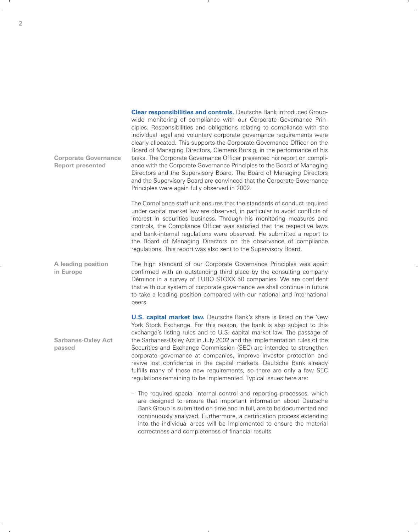**Clear responsibilities and controls.** Deutsche Bank introduced Groupwide monitoring of compliance with our Corporate Governance Principles. Responsibilities and obligations relating to compliance with the individual legal and voluntary corporate governance requirements were clearly allocated. This supports the Corporate Governance Officer on the Board of Managing Directors, Clemens Börsig, in the performance of his tasks. The Corporate Governance Officer presented his report on compliance with the Corporate Governance Principles to the Board of Managing Directors and the Supervisory Board. The Board of Managing Directors and the Supervisory Board are convinced that the Corporate Governance Principles were again fully observed in 2002.

The Compliance staff unit ensures that the standards of conduct required under capital market law are observed, in particular to avoid conflicts of interest in securities business. Through his monitoring measures and controls, the Compliance Officer was satisfied that the respective laws and bank-internal regulations were observed. He submitted a report to the Board of Managing Directors on the observance of compliance regulations. This report was also sent to the Supervisory Board.

The high standard of our Corporate Governance Principles was again confirmed with an outstanding third place by the consulting company Déminor in a survey of EURO STOXX 50 companies. We are confident that with our system of corporate governance we shall continue in future to take a leading position compared with our national and international peers. **A leading position in Europe**

**Sarbanes-Oxley Act**

**Corporate Governance Report presented**

**passed**

**U.S. capital market law.** Deutsche Bank's share is listed on the New York Stock Exchange. For this reason, the bank is also subject to this exchange's listing rules and to U.S. capital market law. The passage of the Sarbanes-Oxley Act in July 2002 and the implementation rules of the Securities and Exchange Commission (SEC) are intended to strengthen corporate governance at companies, improve investor protection and revive lost confidence in the capital markets. Deutsche Bank already fulfills many of these new requirements, so there are only a few SEC regulations remaining to be implemented. Typical issues here are:

– The required special internal control and reporting processes, which are designed to ensure that important information about Deutsche Bank Group is submitted on time and in full, are to be documented and continuously analyzed. Furthermore, a certification process extending into the individual areas will be implemented to ensure the material correctness and completeness of financial results.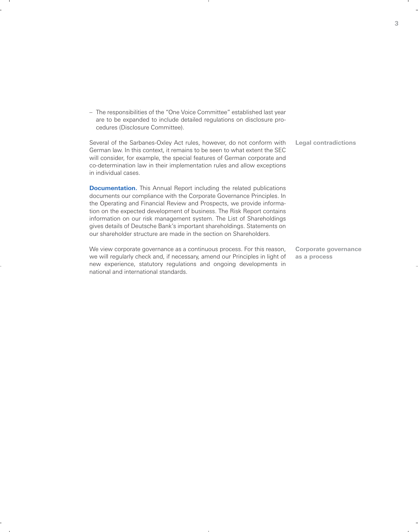– The responsibilities of the "One Voice Committee" established last year are to be expanded to include detailed regulations on disclosure procedures (Disclosure Committee).

our shareholder structure are made in the section on Shareholders.

| Several of the Sarbanes-Oxley Act rules, however, do not conform with<br>German law. In this context, it remains to be seen to what extent the SEC<br>will consider, for example, the special features of German corporate and<br>co-determination law in their implementation rules and allow exceptions<br>in individual cases.                                                                                                                          | <b>Legal contradictions</b> |
|------------------------------------------------------------------------------------------------------------------------------------------------------------------------------------------------------------------------------------------------------------------------------------------------------------------------------------------------------------------------------------------------------------------------------------------------------------|-----------------------------|
| <b>Documentation.</b> This Annual Report including the related publications<br>documents our compliance with the Corporate Governance Principles. In<br>the Operating and Financial Review and Prospects, we provide informa-<br>tion on the expected development of business. The Risk Report contains<br>information on our risk management system. The List of Shareholdings<br>gives details of Deutsche Bank's important shareholdings. Statements on |                             |

We view corporate governance as a continuous process. For this reason, we will regularly check and, if necessary, amend our Principles in light of new experience, statutory regulations and ongoing developments in national and international standards. **Corporate governance as a process**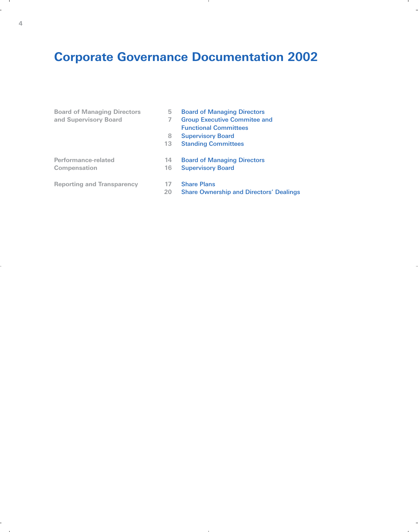# **Corporate Governance Documentation 2002**

| 5  | <b>Board of Managing Directors</b>             |
|----|------------------------------------------------|
| 7  | <b>Group Executive Commitee and</b>            |
|    | <b>Functional Committees</b>                   |
| 8  | <b>Supervisory Board</b>                       |
| 13 | <b>Standing Committees</b>                     |
| 14 | <b>Board of Managing Directors</b>             |
| 16 | <b>Supervisory Board</b>                       |
| 17 | <b>Share Plans</b>                             |
| 20 | <b>Share Ownership and Directors' Dealings</b> |
|    |                                                |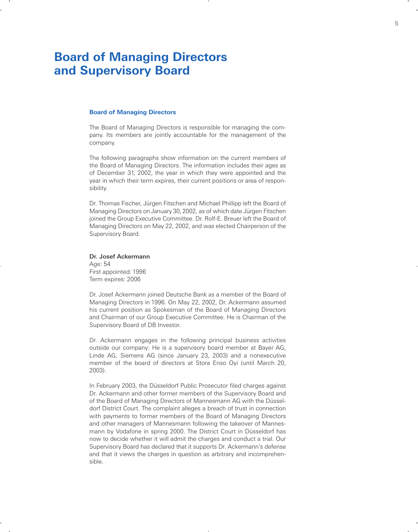## **Board of Managing Directors and Supervisory Board**

### **Board of Managing Directors**

The Board of Managing Directors is responsible for managing the company. Its members are jointly accountable for the management of the company.

The following paragraphs show information on the current members of the Board of Managing Directors. The information includes their ages as of December 31, 2002, the year in which they were appointed and the year in which their term expires, their current positions or area of responsibility.

Dr. Thomas Fischer, Jürgen Fitschen and Michael Phillipp left the Board of Managing Directors on January 30,2002, as of which date Jürgen Fitschen joined the Group Executive Committee. Dr. Rolf-E. Breuer left the Board of Managing Directors on May 22, 2002, and was elected Chairperson of the Supervisory Board.

### Dr. Josef Ackermann

Age: 54 First appointed: 1996 Term expires: 2006

Dr. Josef Ackermann joined Deutsche Bank as a member of the Board of Managing Directors in 1996. On May 22, 2002, Dr. Ackermann assumed his current position as Spokesman of the Board of Managing Directors and Chairman of our Group Executive Committee. He is Chairman of the Supervisory Board of DB Investor.

Dr. Ackermann engages in the following principal business activities outside our company: He is a supervisory board member at Bayer AG, Linde AG, Siemens AG (since January 23, 2003) and a nonexecutive member of the board of directors at Stora Enso Oyi (until March 20, 2003).

In February 2003, the Düsseldorf Public Prosecutor filed charges against Dr. Ackermann and other former members of the Supervisory Board and of the Board of Managing Directors of Mannesmann AG with the Düsseldorf District Court. The complaint alleges a breach of trust in connection with payments to former members of the Board of Managing Directors and other managers of Mannesmann following the takeover of Mannesmann by Vodafone in spring 2000. The District Court in Düsseldorf has now to decide whether it will admit the charges and conduct a trial. Our Supervisory Board has declared that it supports Dr. Ackermann's defense and that it views the charges in question as arbitrary and incomprehensible.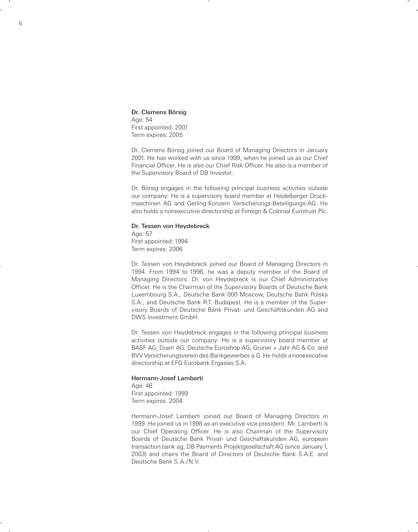Dr. Clemens Börsig Age: 54 First appointed: 2001 Term expires: 2005

Dr. Clemens Börsig joined our Board of Managing Directors in January 2001. He has worked with us since 1999, when he joined us as our Chief Financial Officer. He is also our Chief Risk Officer. He also is a member of the Supervisory Board of DB Investor.

Dr. Börsig engages in the following principal business activities outside our company: He is a supervisory board member at Heidelberger Druckmaschinen AG and Gerling-Konzern Versicherungs-Beteiligungs-AG. He also holds a nonexecutive directorship at Foreign & Colonial Eurotrust Plc.

### Dr. Tessen von Heydebreck

Age: 57 First appointed: 1994 Term expires: 2006

Dr. Tessen von Heydebreck joined our Board of Managing Directors in 1994. From 1994 to 1996, he was a deputy member of the Board of Managing Directors. Dr. von Heydebreck is our Chief Administrative Officer. He is the Chairman of the Supervisory Boards of Deutsche Bank Luxembourg S.A., Deutsche Bank 000 Moscow, Deutsche Bank Polska S.A., and Deutsche Bank R.T. Budapest. He is a member of the Supervisory Boards of Deutsche Bank Privat- und Geschäftskunden AG and DWS Investment GmbH.

Dr. Tessen von Heydebreck engages in the following principal business activities outside our company: He is a supervisory board member at BASF AG, Duerr AG, Deutsche Euroshop AG, Gruner + Jahr AG & Co. and BVV Versicherungsverein des Bankgewerbes a.G. He holds a nonexecutive directorship at EFG Eurobank Ergasias S.A.

### Hermann-Josef Lamberti

Age: 46 First appointed: 1999 Term expires: 2004

Hermann-Josef Lamberti joined our Board of Managing Directors in 1999. He joined us in 1998 as an executive vice president. Mr. Lamberti is our Chief Operating Officer. He is also Chairman of the Supervisory Boards of Deutsche Bank Privat- und Geschäftskunden AG, european transaction bank ag, DB Payments Projektgesellschaft AG (since January1, 2003) and chairs the Board of Directors of Deutsche Bank S.A.E. and Deutsche Bank S.A./N.V.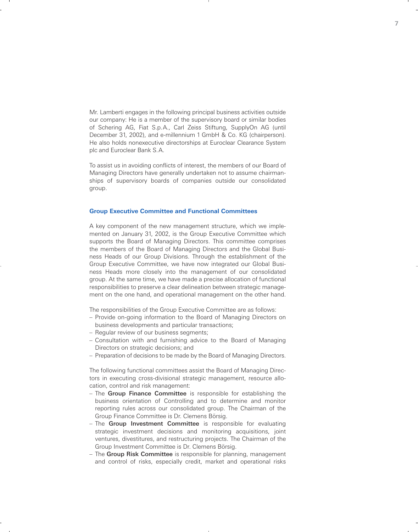Mr. Lamberti engages in the following principal business activities outside our company: He is a member of the supervisory board or similar bodies of Schering AG, Fiat S.p.A., Carl Zeiss Stiftung, SupplyOn AG (until December 31, 2002), and e-millennium 1 GmbH & Co. KG (chairperson). He also holds nonexecutive directorships at Euroclear Clearance System plc and Euroclear Bank S.A.

To assist us in avoiding conflicts of interest, the members of our Board of Managing Directors have generally undertaken not to assume chairmanships of supervisory boards of companies outside our consolidated group.

### **Group Executive Committee and Functional Committees**

A key component of the new management structure, which we implemented on January 31, 2002, is the Group Executive Committee which supports the Board of Managing Directors. This committee comprises the members of the Board of Managing Directors and the Global Business Heads of our Group Divisions. Through the establishment of the Group Executive Committee, we have now integrated our Global Business Heads more closely into the management of our consolidated group. At the same time, we have made a precise allocation of functional responsibilities to preserve a clear delineation between strategic management on the one hand, and operational management on the other hand.

The responsibilities of the Group Executive Committee are as follows:

- Provide on-going information to the Board of Managing Directors on business developments and particular transactions;
- Regular review of our business segments;
- Consultation with and furnishing advice to the Board of Managing Directors on strategic decisions; and
- Preparation of decisions to be made by the Board of Managing Directors.

The following functional committees assist the Board of Managing Directors in executing cross-divisional strategic management, resource allocation, control and risk management:

- The Group Finance Committee is responsible for establishing the business orientation of Controlling and to determine and monitor reporting rules across our consolidated group. The Chairman of the Group Finance Committee is Dr. Clemens Börsig.
- The Group Investment Committee is responsible for evaluating strategic investment decisions and monitoring acquisitions, joint ventures, divestitures, and restructuring projects. The Chairman of the Group Investment Committee is Dr. Clemens Börsig.
- The Group Risk Committee is responsible for planning, management and control of risks, especially credit, market and operational risks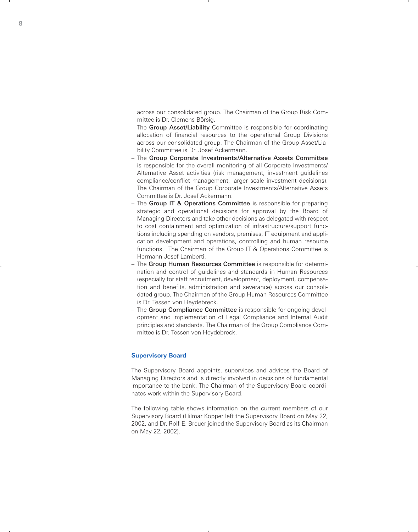across our consolidated group. The Chairman of the Group Risk Committee is Dr. Clemens Börsig.

- The Group Asset/Liability Committee is responsible for coordinating allocation of financial resources to the operational Group Divisions across our consolidated group. The Chairman of the Group Asset/Liability Committee is Dr. Josef Ackermann.
- The Group Corporate Investments/Alternative Assets Committee is responsible for the overall monitoring of all Corporate Investments/ Alternative Asset activities (risk management, investment guidelines compliance/conflict management, larger scale investment decisions). The Chairman of the Group Corporate Investments/Alternative Assets Committee is Dr. Josef Ackermann.
- The Group IT & Operations Committee is responsible for preparing strategic and operational decisions for approval by the Board of Managing Directors and take other decisions as delegated with respect to cost containment and optimization of infrastructure/support functions including spending on vendors, premises, IT equipment and application development and operations, controlling and human resource functions. The Chairman of the Group IT & Operations Committee is Hermann-Josef Lamberti.
- The Group Human Resources Committee is responsible for determination and control of guidelines and standards in Human Resources (especially for staff recruitment, development, deployment, compensation and benefits, administration and severance) across our consolidated group. The Chairman of the Group Human Resources Committee is Dr. Tessen von Heydebreck.
- The Group Compliance Committee is responsible for ongoing development and implementation of Legal Compliance and Internal Audit principles and standards. The Chairman of the Group Compliance Committee is Dr. Tessen von Heydebreck.

### **Supervisory Board**

The Supervisory Board appoints, supervices and advices the Board of Managing Directors and is directly involved in decisions of fundamental importance to the bank. The Chairman of the Supervisory Board coordinates work within the Supervisory Board.

The following table shows information on the current members of our Supervisory Board (Hilmar Kopper left the Supervisory Board on May 22, 2002, and Dr. Rolf-E. Breuer joined the Supervisory Board as its Chairman on May 22, 2002).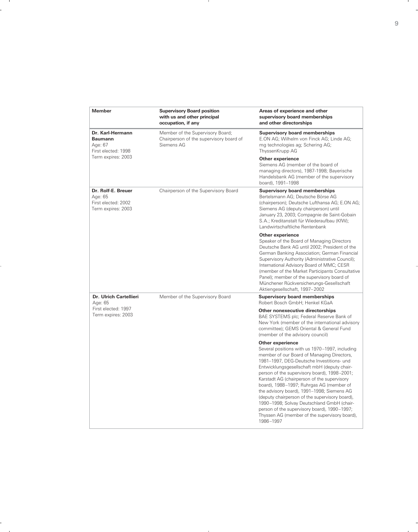| <b>Member</b>                                                              | <b>Supervisory Board position</b><br>with us and other principal<br>occupation, if any    | Areas of experience and other<br>supervisory board memberships<br>and other directorships                                                                                                                                                                                                                                                                                                                                                                                                                                                                                                                                  |
|----------------------------------------------------------------------------|-------------------------------------------------------------------------------------------|----------------------------------------------------------------------------------------------------------------------------------------------------------------------------------------------------------------------------------------------------------------------------------------------------------------------------------------------------------------------------------------------------------------------------------------------------------------------------------------------------------------------------------------------------------------------------------------------------------------------------|
| Dr. Karl-Hermann<br><b>Baumann</b><br>Age: 67<br>First elected: 1998       | Member of the Supervisory Board;<br>Chairperson of the supervisory board of<br>Siemens AG | <b>Supervisory board memberships</b><br>E.ON AG; Wilhelm von Finck AG; Linde AG;<br>mg technologies ag; Schering AG;<br>ThyssenKrupp AG                                                                                                                                                                                                                                                                                                                                                                                                                                                                                    |
| Term expires: 2003                                                         |                                                                                           | <b>Other experience</b><br>Siemens AG (member of the board of<br>managing directors), 1987-1998; Bayerische<br>Handelsbank AG (member of the supervisory<br>board), 1991-1998                                                                                                                                                                                                                                                                                                                                                                                                                                              |
| Dr. Rolf-E. Breuer<br>Age: 65<br>First elected: 2002<br>Term expires: 2003 | Chairperson of the Supervisory Board                                                      | <b>Supervisory board memberships</b><br>Bertelsmann AG; Deutsche Börse AG<br>(chairperson); Deutsche Lufthansa AG; E.ON AG;<br>Siemens AG (deputy chairperson) until<br>January 23, 2003; Compagnie de Saint-Gobain<br>S.A.; Kreditanstalt für Wiederaufbau (KfW);<br>Landwirtschaftliche Rentenbank                                                                                                                                                                                                                                                                                                                       |
|                                                                            |                                                                                           | Other experience<br>Speaker of the Board of Managing Directors<br>Deutsche Bank AG until 2002; President of the<br>German Banking Association; German Financial<br>Supervisory Authority (Administrative Council);<br>International Advisory Board of MMC; CESR<br>(member of the Market Participants Consultative<br>Panel); member of the supervisory board of<br>Münchener Rückversicherungs-Gesellschaft<br>Aktiengesellschaft, 1997-2002                                                                                                                                                                              |
| Dr. Ulrich Cartellieri<br>Age: 65                                          | Member of the Supervisory Board                                                           | <b>Supervisory board memberships</b><br>Robert Bosch GmbH; Henkel KGaA                                                                                                                                                                                                                                                                                                                                                                                                                                                                                                                                                     |
| First elected: 1997<br>Term expires: 2003                                  |                                                                                           | Other nonexecutive directorships<br>BAE SYSTEMS plc; Federal Reserve Bank of<br>New York (member of the international advisory<br>committee); GEMS Oriental & General Fund<br>(member of the advisory council)                                                                                                                                                                                                                                                                                                                                                                                                             |
|                                                                            |                                                                                           | <b>Other experience</b><br>Several positions with us 1970–1997, including<br>member of our Board of Managing Directors,<br>1981-1997, DEG-Deutsche Investitions- und<br>Entwicklungsgesellschaft mbH (deputy chair-<br>person of the supervisory board), 1998-2001;<br>Karstadt AG (chairperson of the supervisory<br>board), 1988-1997; Ruhrgas AG (member of<br>the advisory board), 1991-1998; Siemens AG<br>(deputy chairperson of the supervisory board),<br>1990-1998; Solvay Deutschland GmbH (chair-<br>person of the supervisory board), 1990-1997;<br>Thyssen AG (member of the supervisory board),<br>1986-1997 |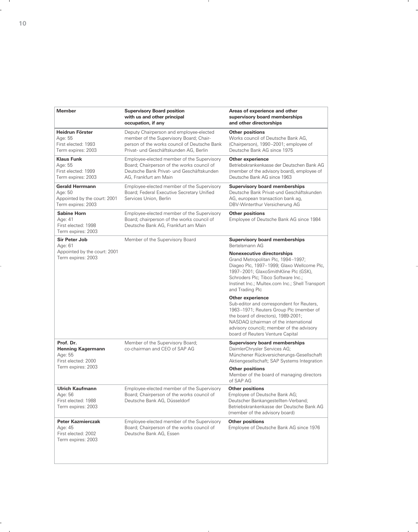| Member                                                                                  | <b>Supervisory Board position</b><br>with us and other principal<br>occupation, if any                                                                                       | Areas of experience and other<br>supervisory board memberships<br>and other directorships                                                                                                                                                                                   |
|-----------------------------------------------------------------------------------------|------------------------------------------------------------------------------------------------------------------------------------------------------------------------------|-----------------------------------------------------------------------------------------------------------------------------------------------------------------------------------------------------------------------------------------------------------------------------|
| Heidrun Förster<br>Age: 55<br>First elected: 1993<br>Term expires: 2003                 | Deputy Chairperson and employee-elected<br>member of the Supervisory Board; Chair-<br>person of the works council of Deutsche Bank<br>Privat- und Geschäftskunden AG, Berlin | <b>Other positions</b><br>Works council of Deutsche Bank AG,<br>(Chairperson), 1990–2001; employee of<br>Deutsche Bank AG since 1975                                                                                                                                        |
| <b>Klaus Funk</b><br>Age: 55<br>First elected: 1999<br>Term expires: 2003               | Employee-elected member of the Supervisory<br>Board; Chairperson of the works council of<br>Deutsche Bank Privat- und Geschäftskunden<br>AG, Frankfurt am Main               | Other experience<br>Betriebskrankenkasse der Deutschen Bank AG<br>(member of the advisory board), employee of<br>Deutsche Bank AG since 1963                                                                                                                                |
| <b>Gerald Herrmann</b><br>Age: 50<br>Appointed by the court: 2001<br>Term expires: 2003 | Employee-elected member of the Supervisory<br>Board; Federal Executive Secretary Unified<br>Services Union, Berlin                                                           | <b>Supervisory board memberships</b><br>Deutsche Bank Privat-und Geschäftskunden<br>AG, european transaction bank ag,<br>DBV-Winterthur Versicherung AG                                                                                                                     |
| <b>Sabine Horn</b><br>Age: 41<br>First elected: 1998<br>Term expires: 2003              | Employee-elected member of the Supervisory<br>Board; chairperson of the works council of<br>Deutsche Bank AG, Frankfurt am Main                                              | <b>Other positions</b><br>Employee of Deutsche Bank AG since 1984                                                                                                                                                                                                           |
| <b>Sir Peter Job</b><br>Age: 61                                                         | Member of the Supervisory Board                                                                                                                                              | <b>Supervisory board memberships</b><br>Bertelsmann AG                                                                                                                                                                                                                      |
| Appointed by the court: 2001<br>Term expires: 2003                                      |                                                                                                                                                                              | <b>Nonexecutive directorships</b><br>Grand Metropolitan Plc, 1994-1997;<br>Diageo Plc, 1997-1999; Glaxo Wellcome Plc,<br>1997-2001; GlaxoSmithKline Plc (GSK),<br>Schroders Plc; Tibco Software Inc.;<br>Instinet Inc.; Multex.com Inc.; Shell Transport<br>and Trading Plc |
|                                                                                         |                                                                                                                                                                              | Other experience<br>Sub-editor and correspondent for Reuters,<br>1963-1971; Reuters Group Plc (member of<br>the board of directors), 1989-2001;<br>NASDAQ (chairman of the international<br>advisory council); member of the advisory<br>board of Reuters Venture Capital   |
| Prof. Dr.<br><b>Henning Kagermann</b><br>Age: 55<br>First elected: 2000                 | Member of the Supervisory Board;<br>co-chairman and CEO of SAP AG                                                                                                            | <b>Supervisory board memberships</b><br>DaimlerChrysler Services AG;<br>Münchener Rückversicherungs-Gesellschaft<br>Aktiengesellschaft; SAP Systems Integration                                                                                                             |
| Term expires: 2003                                                                      |                                                                                                                                                                              | <b>Other positions</b><br>Member of the board of managing directors<br>of SAP AG                                                                                                                                                                                            |
| <b>Ulrich Kaufmann</b><br>Age: 56<br>First elected: 1988<br>Term expires: 2003          | Employee-elected member of the Supervisory<br>Board; Chairperson of the works council of<br>Deutsche Bank AG, Düsseldorf                                                     | <b>Other positions</b><br>Employee of Deutsche Bank AG;<br>Deutscher Bankangestellten-Verband;<br>Betriebskrankenkasse der Deutsche Bank AG<br>(member of the advisory board)                                                                                               |
| <b>Peter Kazmierczak</b><br>Age: 45<br>First elected: 2002<br>Term expires: 2003        | Employee-elected member of the Supervisory<br>Board; Chairperson of the works council of<br>Deutsche Bank AG, Essen                                                          | <b>Other positions</b><br>Employee of Deutsche Bank AG since 1976                                                                                                                                                                                                           |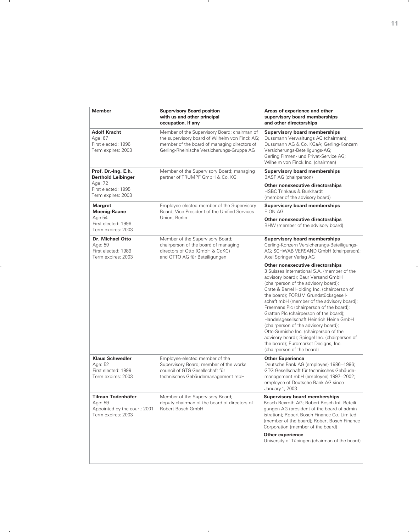| <b>Member</b>                                                                             | <b>Supervisory Board position</b><br>with us and other principal<br>occupation, if any                                                                                                       | Areas of experience and other<br>supervisory board memberships<br>and other directorships                                                                                                                                                                                                                                                                                                                                                                                                                                                                                                                                                    |
|-------------------------------------------------------------------------------------------|----------------------------------------------------------------------------------------------------------------------------------------------------------------------------------------------|----------------------------------------------------------------------------------------------------------------------------------------------------------------------------------------------------------------------------------------------------------------------------------------------------------------------------------------------------------------------------------------------------------------------------------------------------------------------------------------------------------------------------------------------------------------------------------------------------------------------------------------------|
| <b>Adolf Kracht</b><br>Age: 67<br>First elected: 1996<br>Term expires: 2003               | Member of the Supervisory Board; chairman of<br>the supervisory board of Wilhelm von Finck AG;<br>member of the board of managing directors of<br>Gerling-Rheinische Versicherungs-Gruppe AG | <b>Supervisory board memberships</b><br>Dussmann Verwaltungs AG (chairman);<br>Dussmann AG & Co. KGaA; Gerling-Konzern<br>Versicherungs-Beteiligungs-AG;<br>Gerling Firmen- und Privat-Service AG;<br>Wilhelm von Finck Inc. (chairman)                                                                                                                                                                                                                                                                                                                                                                                                      |
| Prof. Dr.-Ing. E.h.<br><b>Berthold Leibinger</b>                                          | Member of the Supervisory Board; managing<br>partner of TRUMPF GmbH & Co. KG                                                                                                                 | <b>Supervisory board memberships</b><br><b>BASF AG (chairperson)</b>                                                                                                                                                                                                                                                                                                                                                                                                                                                                                                                                                                         |
| Age: 72<br>First elected: 1995<br>Term expires: 2003                                      |                                                                                                                                                                                              | Other nonexecutive directorships<br><b>HSBC Trinkaus &amp; Burkhardt</b><br>(member of the advisory board)                                                                                                                                                                                                                                                                                                                                                                                                                                                                                                                                   |
| <b>Margret</b><br><b>Moenig-Raane</b>                                                     | Employee-elected member of the Supervisory<br>Board; Vice President of the Unified Services                                                                                                  | <b>Supervisory board memberships</b><br>E.ON AG                                                                                                                                                                                                                                                                                                                                                                                                                                                                                                                                                                                              |
| Age 54<br>First elected: 1996<br>Term expires: 2003                                       | Union, Berlin                                                                                                                                                                                | Other nonexecutive directorships<br>BHW (member of the advisory board)                                                                                                                                                                                                                                                                                                                                                                                                                                                                                                                                                                       |
| Dr. Michael Otto<br>Age: 59<br>First elected: 1989<br>Term expires: 2003                  | Member of the Supervisory Board;<br>chairperson of the board of managing<br>directors of Otto (GmbH & CoKG)<br>and OTTO AG für Beteiligungen                                                 | <b>Supervisory board memberships</b><br>Gerling-Konzern Versicherungs-Beteiligungs-<br>AG; SCHWAB VERSAND GmbH (chairperson);<br>Axel Springer Verlag AG                                                                                                                                                                                                                                                                                                                                                                                                                                                                                     |
|                                                                                           |                                                                                                                                                                                              | Other nonexecutive directorships<br>3 Suisses International S.A. (member of the<br>advisory board); Baur Versand GmbH<br>(chairperson of the advisory board);<br>Crate & Barrel Holding Inc. (chairperson of<br>the board); FORUM Grundstücksgesell-<br>schaft mbH (member of the advisory board);<br>Freemans Plc (chairperson of the board);<br>Grattan Plc (chairperson of the board);<br>Handelsgesellschaft Heinrich Heine GmbH<br>(chairperson of the advisory board);<br>Otto-Sumisho Inc. (chairperson of the<br>advisory board); Spiegel Inc. (chairperson of<br>the board); Euromarket Designs, Inc.<br>(chairperson of the board) |
| <b>Klaus Schwedler</b><br>Age: 52<br>First elected: 1999<br>Term expires: 2003            | Employee-elected member of the<br>Supervisory Board; member of the works<br>council of GTG Gesellschaft für<br>technisches Gebäudemanagement mbH                                             | <b>Other Experience</b><br>Deutsche Bank AG (employee) 1986-1996;<br>GTG Gesellschaft für technisches Gebäude-<br>management mbH (employee) 1997-2002;                                                                                                                                                                                                                                                                                                                                                                                                                                                                                       |
|                                                                                           |                                                                                                                                                                                              | employee of Deutsche Bank AG since<br>January 1, 2003                                                                                                                                                                                                                                                                                                                                                                                                                                                                                                                                                                                        |
| <b>Tilman Todenhöfer</b><br>Age: 59<br>Appointed by the court: 2001<br>Term expires: 2003 | Member of the Supervisory Board;<br>deputy chairman of the board of directors of<br>Robert Bosch GmbH                                                                                        | <b>Supervisory board memberships</b><br>Bosch Rexroth AG; Robert Bosch Int. Beteili-<br>gungen AG (president of the board of admin-<br>istration); Robert Bosch Finance Co. Limited<br>(member of the board); Robert Bosch Finance<br>Corporation (member of the board)                                                                                                                                                                                                                                                                                                                                                                      |
|                                                                                           |                                                                                                                                                                                              | <b>Other experience</b><br>University of Tübingen (chairman of the board)                                                                                                                                                                                                                                                                                                                                                                                                                                                                                                                                                                    |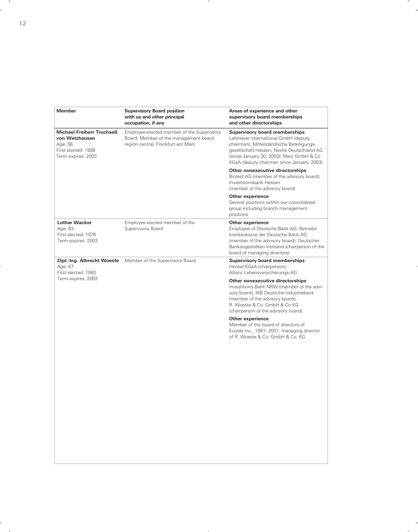| <b>Member</b>                                                                                              | <b>Supervisory Board position</b><br>with us and other principal<br>occupation, if any                                   | Areas of experience and other<br>supervisory board memberships<br>and other directorships                                                                                                                                                                        |
|------------------------------------------------------------------------------------------------------------|--------------------------------------------------------------------------------------------------------------------------|------------------------------------------------------------------------------------------------------------------------------------------------------------------------------------------------------------------------------------------------------------------|
| <b>Michael Freiherr Truchseß</b><br>von Wetzhausen<br>Age: 56<br>First elected: 1999<br>Term expires: 2003 | Employee-elected member of the Supervisory<br>Board; Member of the management board<br>region central, Frankfurt am Main | <b>Supervisory board memberships</b><br>Lahmeyer International GmbH (deputy<br>chairman); Mittelständische Beteiligungs-<br>gesellschaft Hessen; Nestle Deutschland AG<br>(since January 30, 2003); Merz GmbH & Co<br>KGaA (deputy chairman since January, 2003) |
|                                                                                                            |                                                                                                                          | Other nonexecutive directorships<br>Biotest AG (member of the advisory board);<br>Investitionsbank Hessen<br>(member of the advisory board)                                                                                                                      |
|                                                                                                            |                                                                                                                          | Other experience<br>Several positions within our consolidated<br>group including branch management<br>positions                                                                                                                                                  |
| <b>Lothar Wacker</b><br>Age: 63<br>First elected: 1976<br>Term expires: 2003                               | Employee-elected member of the<br>Supervisory Board                                                                      | Other experience<br>Employee of Deutsche Bank AG; Betriebs-<br>krankenkasse der Deutsche Bank AG<br>(member of the advisory board); Deutscher<br>Bankangestellten-Verband (chairperson of the<br>board of managing directors)                                    |
| Dipl.-Ing. Albrecht Woeste<br>Age: 67<br>First elected: 1993                                               | Member of the Supervisory Board                                                                                          | <b>Supervisory board memberships</b><br>Henkel KGaA (chairperson);<br>Allianz Lebensversicherungs-AG                                                                                                                                                             |
| Term expires: 2003                                                                                         |                                                                                                                          | Other nonexecutive directorships<br>Investitions-Bank NRW (member of the advi-<br>sory board); IKB Deutsche Industriebank<br>(member of the advisory board);<br>R. Woeste & Co. GmbH & Co KG<br>(chairperson of the advisory board)                              |
|                                                                                                            |                                                                                                                          | Other experience<br>Member of the board of directors of<br>Ecolab Inc., 1991-2001; managing director<br>of R. Woeste & Co. GmbH & Co. KG                                                                                                                         |
|                                                                                                            |                                                                                                                          |                                                                                                                                                                                                                                                                  |
|                                                                                                            |                                                                                                                          |                                                                                                                                                                                                                                                                  |
|                                                                                                            |                                                                                                                          |                                                                                                                                                                                                                                                                  |
|                                                                                                            |                                                                                                                          |                                                                                                                                                                                                                                                                  |
|                                                                                                            |                                                                                                                          |                                                                                                                                                                                                                                                                  |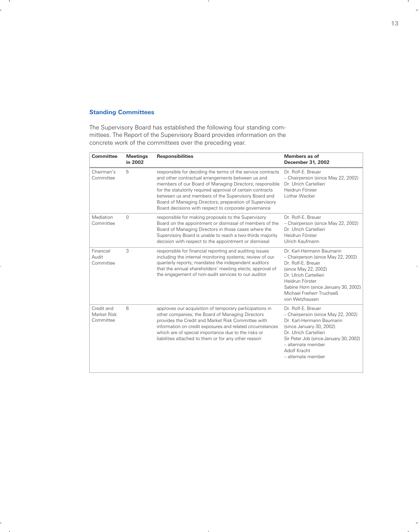### **Standing Committees**

The Supervisory Board has established the following four standing committees. The Report of the Supervisory Board provides information on the concrete work of the committees over the preceding year.

| Committee                              | <b>Meetings</b><br>in 2002 | <b>Responsibilities</b>                                                                                                                                                                                                                                                                                                                                                                                             | Members as of<br>December 31, 2002                                                                                                                                                                                                               |
|----------------------------------------|----------------------------|---------------------------------------------------------------------------------------------------------------------------------------------------------------------------------------------------------------------------------------------------------------------------------------------------------------------------------------------------------------------------------------------------------------------|--------------------------------------------------------------------------------------------------------------------------------------------------------------------------------------------------------------------------------------------------|
| Chairman's<br>Committee                | 5                          | responsible for deciding the terms of the service contracts<br>and other contractual arrangements between us and<br>members of our Board of Managing Directors; responsible<br>for the statutorily required approval of certain contracts<br>between us and members of the Supervisory Board and<br>Board of Managing Directors; preparation of Supervisory<br>Board decisions with respect to corporate governance | Dr. Rolf-F. Breuer<br>- Chairperson (since May 22, 2002)<br>Dr. Ulrich Cartellieri<br>Heidrun Förster<br>I othar Wacker                                                                                                                          |
| Mediation<br>Committee                 | $\Omega$                   | responsible for making proposals to the Supervisory<br>Board on the appointment or dismissal of members of the<br>Board of Managing Directors in those cases where the<br>Supervisory Board is unable to reach a two-thirds majority<br>decision with respect to the appointment or dismissal                                                                                                                       | Dr. Rolf-F. Breuer<br>- Chairperson (since May 22, 2002)<br>Dr. Ulrich Cartellieri<br>Heidrun Förster<br>Ulrich Kaufmann                                                                                                                         |
| Financial<br>Audit<br>Committee        | 3                          | responsible for financial reporting and auditing issues<br>including the internal monitoring systems; review of our<br>quarterly reports; mandates the independent auditors<br>that the annual shareholders' meeting elects; approval of<br>the engagement of non-audit services to our auditor                                                                                                                     | Dr. Karl-Hermann Baumann<br>- Chairperson (since May 22, 2002)<br>Dr. Rolf-F. Breuer<br>(since May 22, 2002)<br>Dr. Ulrich Cartellieri<br>Heidrun Förster<br>Sabine Horn (since January 30, 2002)<br>Michael Freiherr Truchseß<br>von Wetzhausen |
| Credit and<br>Market Risk<br>Committee | 6                          | approves our acquisition of temporary participations in<br>other companies; the Board of Managing Directors<br>provides the Credit and Market Risk Committee with<br>information on credit exposures and related circumstances<br>which are of special importance due to the risks or<br>liabilities attached to them or for any other reason                                                                       | Dr. Rolf-F. Breuer<br>- Chairperson (since May 22, 2002)<br>Dr. Karl-Hermann Baumann<br>(since January 30, 2002)<br>Dr. Ulrich Cartellieri<br>Sir Peter Job (since January 30, 2002)<br>- alternate member<br>Adolf Kracht<br>- alternate member |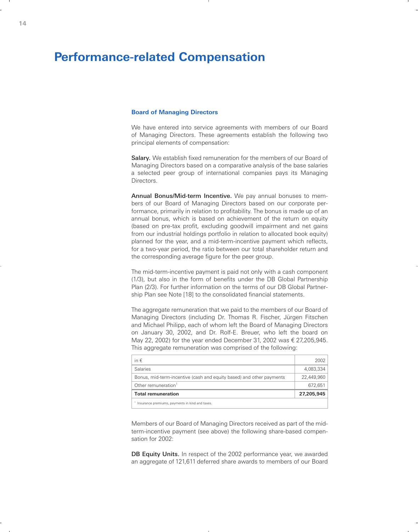## **Performance-related Compensation**

### **Board of Managing Directors**

We have entered into service agreements with members of our Board of Managing Directors. These agreements establish the following two principal elements of compensation:

Salary. We establish fixed remuneration for the members of our Board of Managing Directors based on a comparative analysis of the base salaries a selected peer group of international companies pays its Managing Directors.

Annual Bonus/Mid-term Incentive. We pay annual bonuses to members of our Board of Managing Directors based on our corporate performance, primarily in relation to profitability. The bonus is made up of an annual bonus, which is based on achievement of the return on equity (based on pre-tax profit, excluding goodwill impairment and net gains from our industrial holdings portfolio in relation to allocated book equity) planned for the year, and a mid-term-incentive payment which reflects, for a two-year period, the ratio between our total shareholder return and the corresponding average figure for the peer group.

The mid-term-incentive payment is paid not only with a cash component (1/3), but also in the form of benefits under the DB Global Partnership Plan (2/3). For further information on the terms of our DB Global Partnership Plan see Note [18] to the consolidated financial statements.

The aggregate remuneration that we paid to the members of our Board of Managing Directors (including Dr. Thomas R. Fischer, Jürgen Fitschen and Michael Philipp, each of whom left the Board of Managing Directors on January 30, 2002, and Dr. Rolf-E. Breuer, who left the board on May 22, 2002) for the year ended December 31, 2002 was  $\epsilon$  27, 205, 945. This aggregate remuneration was comprised of the following:

| in $\epsilon$                                                        | 2002       |
|----------------------------------------------------------------------|------------|
| Salaries                                                             | 4,083,334  |
| Bonus, mid-term-incentive (cash and equity based) and other payments | 22,449,960 |
| Other remuneration <sup>1</sup>                                      | 672.651    |
| <b>Total remuneration</b>                                            | 27,205,945 |
| Insurance premiums, payments in kind and taxes.                      |            |

Members of our Board of Managing Directors received as part of the midterm-incentive payment (see above) the following share-based compensation for 2002:

DB Equity Units. In respect of the 2002 performance year, we awarded an aggregate of 121,611 deferred share awards to members of our Board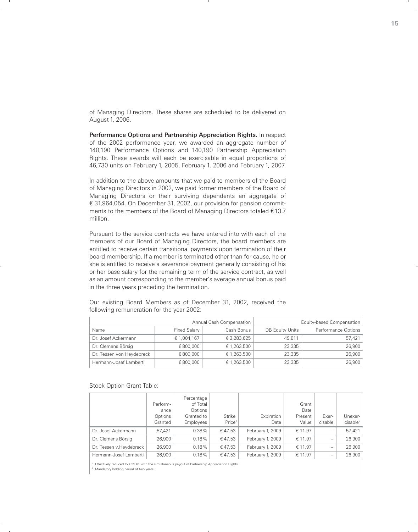of Managing Directors. These shares are scheduled to be delivered on August 1, 2006.

Performance Options and Partnership Appreciation Rights. In respect of the 2002 performance year, we awarded an aggregate number of 140,190 Performance Options and 140,190 Partnership Appreciation Rights. These awards will each be exercisable in equal proportions of 46,730 units on February 1, 2005, February 1, 2006 and February 1, 2007.

In addition to the above amounts that we paid to members of the Board of Managing Directors in 2002, we paid former members of the Board of Managing Directors or their surviving dependents an aggregate of € 31,964,054. On December 31, 2002, our provision for pension commitments to the members of the Board of Managing Directors totaled  $£13.7$ million.

Pursuant to the service contracts we have entered into with each of the members of our Board of Managing Directors, the board members are entitled to receive certain transitional payments upon termination of their board membership. If a member is terminated other than for cause, he or she is entitled to receive a severance payment generally consisting of his or her base salary for the remaining term of the service contract, as well as an amount corresponding to the member's average annual bonus paid in the three years preceding the termination.

| Annual Cash Compensation  |                     |             |                 | Equity-based Compensation |
|---------------------------|---------------------|-------------|-----------------|---------------------------|
|                           | <b>Fixed Salary</b> | Cash Bonus  | DB Equity Units | Performance Options       |
| Dr. Josef Ackermann       | € 1,004,167         | € 3,283,625 | 49.811          | 57.421                    |
| Dr. Clemens Börsig        | € 800,000           | € 1,263,500 | 23.335          | 26,900                    |
| Dr. Tessen von Heydebreck | € 800,000           | € 1,263,500 | 23,335          | 26,900                    |
| Hermann-Josef Lamberti    | € 800,000           | € 1,263,500 | 23,335          | 26,900                    |
|                           |                     |             |                 |                           |

Our existing Board Members as of December 31, 2002, received the following remuneration for the year 2002:

Stock Option Grant Table:

|                                                                                                                                                                                                                                                | Perform-<br>ance<br>Options<br>Granted | Percentage<br>of Total<br>Options<br>Granted to<br>Employees | <b>Strike</b><br>Price <sup>1</sup> | Expiration<br>Date | Grant<br>Date<br>Present<br>Value | Exer-<br>cisable                | Unexer-<br>cisable <sup>2</sup> |
|------------------------------------------------------------------------------------------------------------------------------------------------------------------------------------------------------------------------------------------------|----------------------------------------|--------------------------------------------------------------|-------------------------------------|--------------------|-----------------------------------|---------------------------------|---------------------------------|
| Dr. Josef Ackermann                                                                                                                                                                                                                            | 57.421                                 | $0.38\%$                                                     | €47.53                              | February 1, 2009   | € 11.97                           | $\hspace{0.1mm}-\hspace{0.1mm}$ | 57.421                          |
| Dr. Clemens Börsig                                                                                                                                                                                                                             | 26,900                                 | 0.18%                                                        | €47.53                              | February 1, 2009   | € 11.97                           | $\qquad \qquad -$               | 26.900                          |
| Dr. Tessen v.Heydebreck                                                                                                                                                                                                                        | 26,900                                 | 0.18%                                                        | €47.53                              | February 1, 2009   | € 11.97                           | $\qquad \qquad -$               | 26.900                          |
| Hermann-Josef Lamberti                                                                                                                                                                                                                         | 26,900                                 | 0.18%                                                        | €47.53                              | February 1, 2009   | € 11.97                           | $\hspace{0.1mm}-\hspace{0.1mm}$ | 26.900                          |
| $\pi \circ \cdot \cdot \cdot$ . The second contract of the second contract of the second contract of the second contract of the second contract of the second contract of the second contract of the second contract of the second contract of |                                        |                                                              |                                     |                    |                                   |                                 |                                 |

Effectively reduced to € 39.61 with the simultaneous payout of Partnership Appreciation Rights

2 Mandatory holding period of two years.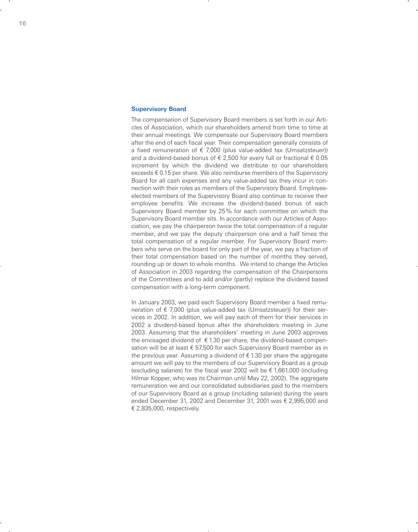### **Supervisory Board**

The compensation of Supervisory Board members is set forth in our Articles of Association, which our shareholders amend from time to time at their annual meetings. We compensate our Supervisory Board members after the end of each fiscal year. Their compensation generally consists of a fixed remuneration of  $\epsilon$  7,000 (plus value-added tax (Umsatzsteuer)) and a dividend-based bonus of  $\epsilon$  2,500 for every full or fractional  $\epsilon$  0.05 increment by which the dividend we distribute to our shareholders exceeds  $\epsilon$  0.15 per share. We also reimburse members of the Supervisory Board for all cash expenses and any value-added tax they incur in connection with their roles as members of the Supervisory Board. Employeeelected members of the Supervisory Board also continue to receive their employee benefits. We increase the dividend-based bonus of each Supervisory Board member by 25 % for each committee on which the Supervisory Board member sits. In accordance with our Articles of Association, we pay the chairperson twice the total compensation of a regular member, and we pay the deputy chairperson one and a half times the total compensation of a regular member. For Supervisory Board members who serve on the board for only part of the year, we pay a fraction of their total compensation based on the number of months they served, rounding up or down to whole months. We intend to change the Articles of Association in 2003 regarding the compensation of the Chairpersons of the Committees and to add and/or (partly) replace the dividend based compensation with a long-term component.

In January 2003, we paid each Supervisory Board member a fixed remuneration of  $\epsilon$  7,000 (plus value-added tax (Umsatzsteuer)) for their services in 2002. In addition, we will pay each of them for their services in 2002 a dividend-based bonus after the shareholders meeting in June 2003. Assuming that the shareholders' meeting in June 2003 approves the envisaged dividend of  $\epsilon$  1.30 per share, the dividend-based compensation will be at least  $\epsilon$  57,500 for each Supervisory Board member as in the previous year. Assuming a dividend of  $\epsilon$  1.30 per share the aggregate amount we will pay to the members of our Supervisory Board as a group (excluding salaries) for the fiscal year 2002 will be  $\epsilon$  1,661,000 (including Hilmar Kopper, who was its Chairman until May 22, 2002). The aggregate remuneration we and our consolidated subsidiaries paid to the members of our Supervisory Board as a group (including salaries) during the years ended December 31, 2002 and December 31, 2001 was  $\epsilon$  2,995,000 and  $\in$  2.835.000, respectively.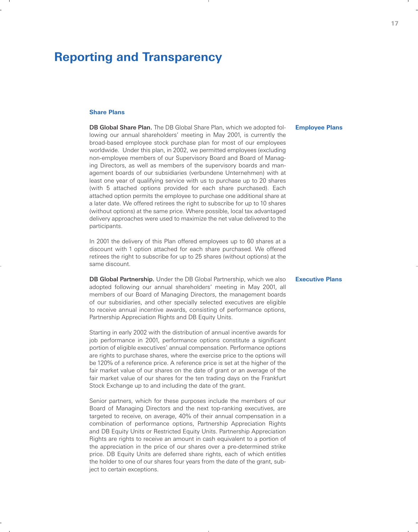## **Reporting and Transparency**

### **Share Plans**

DB Global Share Plan. The DB Global Share Plan, which we adopted following our annual shareholders' meeting in May 2001, is currently the broad-based employee stock purchase plan for most of our employees worldwide. Under this plan, in 2002, we permitted employees (excluding non-employee members of our Supervisory Board and Board of Managing Directors, as well as members of the supervisory boards and management boards of our subsidiaries (verbundene Unternehmen) with at least one year of qualifying service with us to purchase up to 20 shares (with 5 attached options provided for each share purchased). Each attached option permits the employee to purchase one additional share at a later date. We offered retirees the right to subscribe for up to 10 shares (without options) at the same price. Where possible, local tax advantaged delivery approaches were used to maximize the net value delivered to the participants.

In 2001 the delivery of this Plan offered employees up to 60 shares at a discount with 1 option attached for each share purchased. We offered retirees the right to subscribe for up to 25 shares (without options) at the same discount.

DB Global Partnership. Under the DB Global Partnership, which we also adopted following our annual shareholders' meeting in May 2001, all members of our Board of Managing Directors, the management boards of our subsidiaries, and other specially selected executives are eligible to receive annual incentive awards, consisting of performance options, Partnership Appreciation Rights and DB Equity Units.

Starting in early 2002 with the distribution of annual incentive awards for job performance in 2001, performance options constitute a significant portion of eligible executives' annual compensation. Performance options are rights to purchase shares, where the exercise price to the options will be 120% of a reference price. A reference price is set at the higher of the fair market value of our shares on the date of grant or an average of the fair market value of our shares for the ten trading days on the Frankfurt Stock Exchange up to and including the date of the grant.

Senior partners, which for these purposes include the members of our Board of Managing Directors and the next top-ranking executives, are targeted to receive, on average, 40% of their annual compensation in a combination of performance options, Partnership Appreciation Rights and DB Equity Units or Restricted Equity Units. Partnership Appreciation Rights are rights to receive an amount in cash equivalent to a portion of the appreciation in the price of our shares over a pre-determined strike price. DB Equity Units are deferred share rights, each of which entitles the holder to one of our shares four years from the date of the grant, subject to certain exceptions.

### **Employee Plans**

#### **Executive Plans**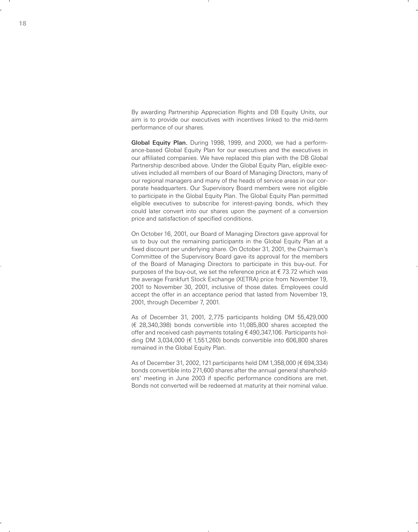By awarding Partnership Appreciation Rights and DB Equity Units, our aim is to provide our executives with incentives linked to the mid-term performance of our shares.

Global Equity Plan. During 1998, 1999, and 2000, we had a performance-based Global Equity Plan for our executives and the executives in our affiliated companies. We have replaced this plan with the DB Global Partnership described above. Under the Global Equity Plan, eligible executives included all members of our Board of Managing Directors, many of our regional managers and many of the heads of service areas in our corporate headquarters. Our Supervisory Board members were not eligible to participate in the Global Equity Plan. The Global Equity Plan permitted eligible executives to subscribe for interest-paying bonds, which they could later convert into our shares upon the payment of a conversion price and satisfaction of specified conditions.

On October 16, 2001, our Board of Managing Directors gave approval for us to buy out the remaining participants in the Global Equity Plan at a fixed discount per underlying share. On October 31, 2001, the Chairman's Committee of the Supervisory Board gave its approval for the members of the Board of Managing Directors to participate in this buy-out. For purposes of the buy-out, we set the reference price at  $\epsilon$  73.72 which was the average Frankfurt Stock Exchange (XETRA) price from November 19, 2001 to November 30, 2001, inclusive of those dates. Employees could accept the offer in an acceptance period that lasted from November 19, 2001, through December 7, 2001.

As of December 31, 2001, 2,775 participants holding DM 55,429,000  $(E 28,340,398)$  bonds convertible into 11,085,800 shares accepted the offer and received cash payments totaling  $\epsilon$  490,347,106. Participants holding DM 3,034,000 ( $\epsilon$  1,551,260) bonds convertible into 606,800 shares remained in the Global Equity Plan.

As of December 31, 2002, 121 participants held DM 1,358,000 ( $\epsilon$  694,334) bonds convertible into 271,600 shares after the annual general shareholders' meeting in June 2003 if specific performance conditions are met. Bonds not converted will be redeemed at maturity at their nominal value.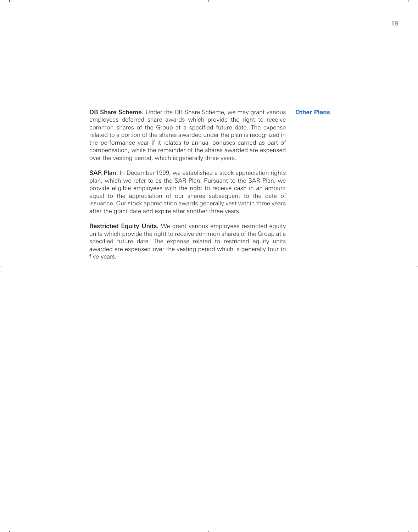### **Other Plans**

DB Share Scheme. Under the DB Share Scheme, we may grant various employees deferred share awards which provide the right to receive common shares of the Group at a specified future date. The expense related to a portion of the shares awarded under the plan is recognized in the performance year if it relates to annual bonuses earned as part of compensation, while the remainder of the shares awarded are expensed over the vesting period, which is generally three years.

SAR Plan. In December 1999, we established a stock appreciation rights plan, which we refer to as the SAR Plan. Pursuant to the SAR Plan, we provide eligible employees with the right to receive cash in an amount equal to the appreciation of our shares subsequent to the date of issuance. Our stock appreciation awards generally vest within three years after the grant date and expire after another three years.

Restricted Equity Units. We grant various employees restricted equity units which provide the right to receive common shares of the Group at a specified future date. The expense related to restricted equity units awarded are expensed over the vesting period which is generally four to five years.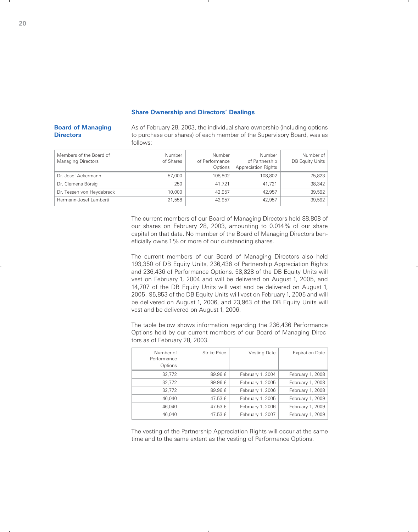### **Share Ownership and Directors' Dealings**

### **Board of Managing Directors**

As of February 28, 2003, the individual share ownership (including options to purchase our shares) of each member of the Supervisory Board, was as follows:

| Members of the Board of<br><b>Managing Directors</b> | Number<br>of Shares | Number<br>of Performance<br>Options | Number<br>of Partnership<br><b>Appreciation Rights</b> | Number of<br>DB Equity Units |
|------------------------------------------------------|---------------------|-------------------------------------|--------------------------------------------------------|------------------------------|
| Dr. Josef Ackermann                                  | 57,000              | 108.802                             | 108.802                                                | 75,823                       |
| Dr. Clemens Börsig                                   | 250                 | 41.721                              | 41.721                                                 | 38,342                       |
| Dr. Tessen von Heydebreck                            | 10.000              | 42.957                              | 42.957                                                 | 39,592                       |
| Hermann-Josef Lamberti                               | 21.558              | 42.957                              | 42.957                                                 | 39,592                       |

The current members of our Board of Managing Directors held 88,808 of our shares on February 28, 2003, amounting to 0.014 % of our share capital on that date. No member of the Board of Managing Directors beneficially owns 1 % or more of our outstanding shares.

The current members of our Board of Managing Directors also held 193,350 of DB Equity Units, 236,436 of Partnership Appreciation Rights and 236,436 of Performance Options. 58,828 of the DB Equity Units will vest on February 1, 2004 and will be delivered on August 1, 2005, and 14,707 of the DB Equity Units will vest and be delivered on August 1, 2005. 95,853 of the DB Equity Units will vest on February 1, 2005 and will be delivered on August 1, 2006, and 23,963 of the DB Equity Units will vest and be delivered on August 1, 2006.

The table below shows information regarding the 236,436 Performance Options held by our current members of our Board of Managing Directors as of February 28, 2003.

| Number of<br>Performance<br>Options | <b>Strike Price</b> | Vesting Date     | <b>Expiration Date</b> |
|-------------------------------------|---------------------|------------------|------------------------|
| 32.772                              | 89.96€              | February 1, 2004 | February 1, 2008       |
| 32.772                              | 89.96€              | February 1, 2005 | February 1, 2008       |
| 32.772                              | 89.96€              | February 1, 2006 | February 1, 2008       |
| 46,040                              | 47.53 €             | February 1, 2005 | February 1, 2009       |
| 46,040                              | 47.53 €             | February 1, 2006 | February 1, 2009       |
| 46.040                              | 47.53 €             | February 1, 2007 | February 1, 2009       |

The vesting of the Partnership Appreciation Rights will occur at the same time and to the same extent as the vesting of Performance Options.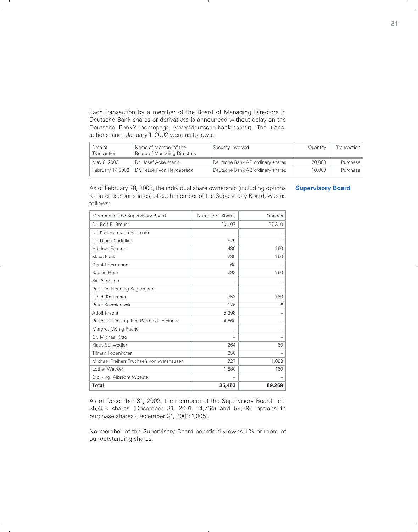Each transaction by a member of the Board of Managing Directors in Deutsche Bank shares or derivatives is announced without delay on the Deutsche Bank's homepage (www.deutsche-bank.com/ir). The transactions since January 1, 2002 were as follows:

| Date of<br>Transaction | Name of Member of the<br>Board of Managing Directors | Security Involved                | Quantity | Transaction |
|------------------------|------------------------------------------------------|----------------------------------|----------|-------------|
| May 6, 2002            | Dr. Josef Ackermann                                  | Deutsche Bank AG ordinary shares | 20,000   | Purchase    |
| February 17, 2003      | Dr. Tessen von Heydebreck                            | Deutsche Bank AG ordinary shares | 10,000   | Purchase    |

As of February 28, 2003, the individual share ownership (including options to purchase our shares) of each member of the Supervisory Board, was as follows:

| Members of the Supervisory Board           | Number of Shares | Options |
|--------------------------------------------|------------------|---------|
| Dr. Rolf-E. Breuer                         | 20,107           | 57,310  |
| Dr. Karl-Hermann Baumann                   |                  |         |
| Dr. Ulrich Cartellieri                     | 675              |         |
| Heidrun Förster                            | 480              | 160     |
| Klaus Funk                                 | 280              | 160     |
| Gerald Herrmann                            | 60               |         |
| Sabine Horn                                | 293              | 160     |
| Sir Peter Job                              |                  |         |
| Prof. Dr. Henning Kagermann                |                  |         |
| Ulrich Kaufmann                            | 353              | 160     |
| Peter Kazmierczak                          | 126              | 6       |
| Adolf Kracht                               | 5,398            |         |
| Professor Dr.-Ing. E.h. Berthold Leibinger | 4,560            |         |
| Margret Mönig-Raane                        |                  |         |
| Dr. Michael Otto                           |                  |         |
| Klaus Schwedler                            | 264              | 60      |
| Tilman Todenhöfer                          | 250              |         |
| Michael Freiherr Truchseß von Wetzhausen   | 727              | 1,083   |
| Lothar Wacker                              | 1,880            | 160     |
| Dipl.-Ing. Albrecht Woeste                 |                  |         |
| <b>Total</b>                               | 35,453           | 59,259  |

**Supervisory Board**

As of December 31, 2002, the members of the Supervisory Board held 35,453 shares (December 31, 2001: 14,764) and 58,396 options to purchase shares (December 31, 2001: 1,005).

No member of the Supervisory Board beneficially owns 1% or more of our outstanding shares.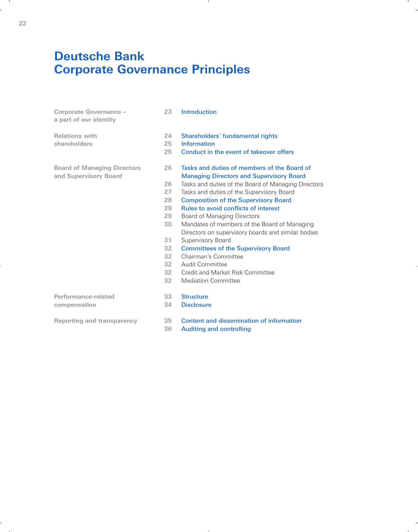## **Deutsche Bank Corporate Governance Principles**

| Corporate Governance -<br>a part of our identity            | 23                                                                         | Introduction                                                                                                                                                                                                                                                                                                                                                                                                                                                                                                                                                                                                                 |
|-------------------------------------------------------------|----------------------------------------------------------------------------|------------------------------------------------------------------------------------------------------------------------------------------------------------------------------------------------------------------------------------------------------------------------------------------------------------------------------------------------------------------------------------------------------------------------------------------------------------------------------------------------------------------------------------------------------------------------------------------------------------------------------|
| <b>Relations with</b><br>shareholders                       | 24<br>25<br>25                                                             | Shareholders' fundamental rights<br><b>Information</b><br>Conduct in the event of takeover offers                                                                                                                                                                                                                                                                                                                                                                                                                                                                                                                            |
| <b>Board of Managing Directors</b><br>and Supervisory Board | 26<br>26<br>27<br>28<br>29<br>29<br>30<br>31<br>32<br>32<br>32<br>32<br>32 | Tasks and duties of members of the Board of<br><b>Managing Directors and Supervisory Board</b><br>Tasks and duties of the Board of Managing Directors<br>Tasks and duties of the Supervisory Board<br><b>Composition of the Supervisory Board</b><br><b>Rules to avoid conflicts of interest</b><br><b>Board of Managing Directors</b><br>Mandates of members of the Board of Managing<br>Directors on supervisory boards and similar bodies<br>Supervisory Board<br><b>Committees of the Supervisory Board</b><br>Chairman's Committee<br>Audit Committee<br>Credit and Market Risk Committee<br><b>Mediation Committee</b> |
| Performance-related<br>compensation                         | 33<br>34                                                                   | <b>Structure</b><br><b>Disclosure</b>                                                                                                                                                                                                                                                                                                                                                                                                                                                                                                                                                                                        |
| <b>Reporting and transparency</b>                           | 35<br>36                                                                   | Content and dissemination of information<br><b>Auditing and controlling</b>                                                                                                                                                                                                                                                                                                                                                                                                                                                                                                                                                  |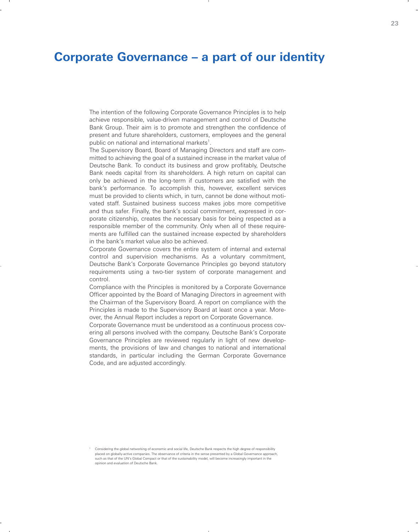## **Corporate Governance – a part of our identity**

The intention of the following Corporate Governance Principles is to help achieve responsible, value-driven management and control of Deutsche Bank Group. Their aim is to promote and strengthen the confidence of present and future shareholders, customers, employees and the general public on national and international markets<sup>1</sup>.

The Supervisory Board, Board of Managing Directors and staff are committed to achieving the goal of a sustained increase in the market value of Deutsche Bank. To conduct its business and grow profitably, Deutsche Bank needs capital from its shareholders. A high return on capital can only be achieved in the long-term if customers are satisfied with the bank's performance. To accomplish this, however, excellent services must be provided to clients which, in turn, cannot be done without motivated staff. Sustained business success makes jobs more competitive and thus safer. Finally, the bank's social commitment, expressed in corporate citizenship, creates the necessary basis for being respected as a responsible member of the community. Only when all of these requirements are fulfilled can the sustained increase expected by shareholders in the bank's market value also be achieved.

Corporate Governance covers the entire system of internal and external control and supervision mechanisms. As a voluntary commitment, Deutsche Bank's Corporate Governance Principles go beyond statutory requirements using a two-tier system of corporate management and control.

Compliance with the Principles is monitored by a Corporate Governance Officer appointed by the Board of Managing Directors in agreement with the Chairman of the Supervisory Board. A report on compliance with the Principles is made to the Supervisory Board at least once a year. Moreover, the Annual Report includes a report on Corporate Governance.

Corporate Governance must be understood as a continuous process covering all persons involved with the company. Deutsche Bank's Corporate Governance Principles are reviewed regularly in light of new developments, the provisions of law and changes to national and international standards, in particular including the German Corporate Governance Code, and are adjusted accordingly.

<sup>1</sup> Considering the global networking of economic and social life, Deutsche Bank respects the high degree of responsibility placed on globally-active companies. The observance of criteria in the sense presented by a Global Governance approach, such as that of the UN's Global Compact or that of the sustainability model, will become increasingly important in the opinion and evaluation of Deutsche Bank.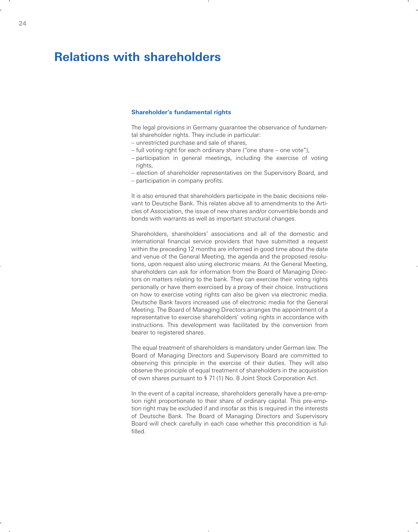## **Relations with shareholders**

### **Shareholder's fundamental rights**

The legal provisions in Germany guarantee the observance of fundamental shareholder rights. They include in particular:

- unrestricted purchase and sale of shares,
- full voting right for each ordinary share ("one share one vote"),
- participation in general meetings, including the exercise of voting rights,
- election of shareholder representatives on the Supervisory Board, and
- participation in company profits.

It is also ensured that shareholders participate in the basic decisions relevant to Deutsche Bank. This relates above all to amendments to the Articles of Association, the issue of new shares and/or convertible bonds and bonds with warrants as well as important structural changes.

Shareholders, shareholders' associations and all of the domestic and international financial service providers that have submitted a request within the preceding 12 months are informed in good time about the date and venue of the General Meeting, the agenda and the proposed resolutions, upon request also using electronic means. At the General Meeting, shareholders can ask for information from the Board of Managing Directors on matters relating to the bank. They can exercise their voting rights personally or have them exercised by a proxy of their choice. Instructions on how to exercise voting rights can also be given via electronic media. Deutsche Bank favors increased use of electronic media for the General Meeting. The Board of Managing Directors arranges the appointment of a representative to exercise shareholders' voting rights in accordance with instructions. This development was facilitated by the conversion from bearer to registered shares.

The equal treatment of shareholders is mandatory under German law. The Board of Managing Directors and Supervisory Board are committed to observing this principle in the exercise of their duties. They will also observe the principle of equal treatment of shareholders in the acquisition of own shares pursuant to § 71 (1) No. 8 Joint Stock Corporation Act.

In the event of a capital increase, shareholders generally have a pre-emption right proportionate to their share of ordinary capital. This pre-emption right may be excluded if and insofar as this is required in the interests of Deutsche Bank. The Board of Managing Directors and Supervisory Board will check carefully in each case whether this precondition is fulfilled.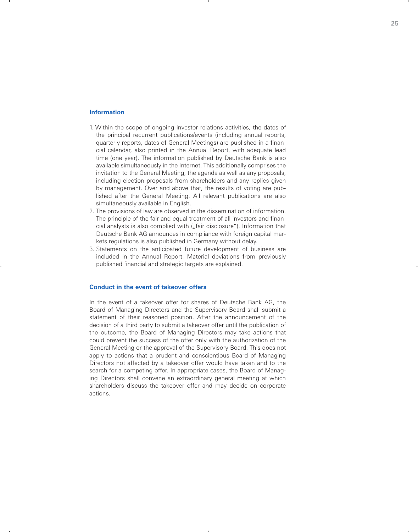### **Information**

- 1. Within the scope of ongoing investor relations activities, the dates of the principal recurrent publications/events (including annual reports, quarterly reports, dates of General Meetings) are published in a financial calendar, also printed in the Annual Report, with adequate lead time (one year). The information published by Deutsche Bank is also available simultaneously in the Internet. This additionally comprises the invitation to the General Meeting, the agenda as well as any proposals, including election proposals from shareholders and any replies given by management. Over and above that, the results of voting are published after the General Meeting. All relevant publications are also simultaneously available in English.
- 2. The provisions of law are observed in the dissemination of information. The principle of the fair and equal treatment of all investors and financial analysts is also complied with ("fair disclosure"). Information that Deutsche Bank AG announces in compliance with foreign capital markets regulations is also published in Germany without delay.
- 3. Statements on the anticipated future development of business are included in the Annual Report. Material deviations from previously published financial and strategic targets are explained.

### **Conduct in the event of takeover offers**

In the event of a takeover offer for shares of Deutsche Bank AG, the Board of Managing Directors and the Supervisory Board shall submit a statement of their reasoned position. After the announcement of the decision of a third party to submit a takeover offer until the publication of the outcome, the Board of Managing Directors may take actions that could prevent the success of the offer only with the authorization of the General Meeting or the approval of the Supervisory Board. This does not apply to actions that a prudent and conscientious Board of Managing Directors not affected by a takeover offer would have taken and to the search for a competing offer. In appropriate cases, the Board of Managing Directors shall convene an extraordinary general meeting at which shareholders discuss the takeover offer and may decide on corporate actions.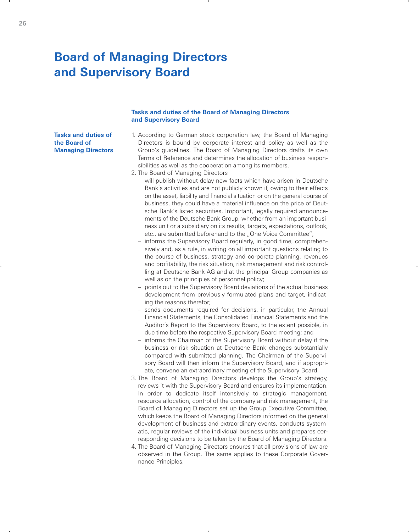## **Board of Managing Directors and Supervisory Board**

### **Tasks and duties of the Board of Managing Directors and Supervisory Board**

**Tasks and duties of the Board of Managing Directors**

- 1. According to German stock corporation law, the Board of Managing Directors is bound by corporate interest and policy as well as the Group's guidelines. The Board of Managing Directors drafts its own Terms of Reference and determines the allocation of business responsibilities as well as the cooperation among its members.
- 2. The Board of Managing Directors
	- will publish without delay new facts which have arisen in Deutsche Bank's activities and are not publicly known if, owing to their effects on the asset, liability and financial situation or on the general course of business, they could have a material influence on the price of Deutsche Bank's listed securities. Important, legally required announcements of the Deutsche Bank Group, whether from an important business unit or a subsidiary on its results, targets, expectations, outlook, etc., are submitted beforehand to the "One Voice Committee";
	- informs the Supervisory Board regularly, in good time, comprehensively and, as a rule, in writing on all important questions relating to the course of business, strategy and corporate planning, revenues and profitability, the risk situation, risk management and risk controlling at Deutsche Bank AG and at the principal Group companies as well as on the principles of personnel policy;
	- points out to the Supervisory Board deviations of the actual business development from previously formulated plans and target, indicating the reasons therefor;
	- sends documents required for decisions, in particular, the Annual Financial Statements, the Consolidated Financial Statements and the Auditor's Report to the Supervisory Board, to the extent possible, in due time before the respective Supervisory Board meeting; and
	- informs the Chairman of the Supervisory Board without delay if the business or risk situation at Deutsche Bank changes substantially compared with submitted planning. The Chairman of the Supervisory Board will then inform the Supervisory Board, and if appropriate, convene an extraordinary meeting of the Supervisory Board.
- 3. The Board of Managing Directors develops the Group's strategy, reviews it with the Supervisory Board and ensures its implementation. In order to dedicate itself intensively to strategic management, resource allocation, control of the company and risk management, the Board of Managing Directors set up the Group Executive Committee, which keeps the Board of Managing Directors informed on the general development of business and extraordinary events, conducts systematic, regular reviews of the individual business units and prepares corresponding decisions to be taken by the Board of Managing Directors.
- 4. The Board of Managing Directors ensures that all provisions of law are observed in the Group. The same applies to these Corporate Governance Principles.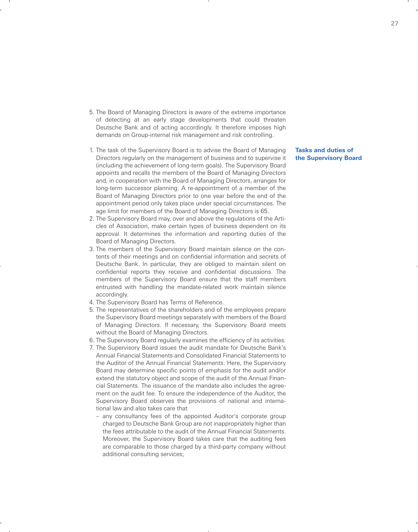- 5. The Board of Managing Directors is aware of the extreme importance of detecting at an early stage developments that could threaten Deutsche Bank and of acting accordingly. It therefore imposes high demands on Group-internal risk management and risk controlling.
- 1. The task of the Supervisory Board is to advise the Board of Managing Directors regularly on the management of business and to supervise it (including the achievement of long-term goals). The Supervisory Board appoints and recalls the members of the Board of Managing Directors and, in cooperation with the Board of Managing Directors, arranges for long-term successor planning. A re-appointment of a member of the Board of Managing Directors prior to one year before the end of the appointment period only takes place under special circumstances. The age limit for members of the Board of Managing Directors is 65.
- 2. The Supervisory Board may, over and above the regulations of the Articles of Association, make certain types of business dependent on its approval. It determines the information and reporting duties of the Board of Managing Directors.
- 3. The members of the Supervisory Board maintain silence on the contents of their meetings and on confidential information and secrets of Deutsche Bank. In particular, they are obliged to maintain silent on confidential reports they receive and confidential discussions. The members of the Supervisory Board ensure that the staff members entrusted with handling the mandate-related work maintain silence accordingly.
- 4. The Supervisory Board has Terms of Reference.
- 5. The representatives of the shareholders and of the employees prepare the Supervisory Board meetings separately with members of the Board of Managing Directors. If necessary, the Supervisory Board meets without the Board of Managing Directors.
- 6. The Supervisory Board regularly examines the efficiency of its activities.
- 7. The Supervisory Board issues the audit mandate for Deutsche Bank's Annual Financial Statements and Consolidated Financial Statements to the Auditor of the Annual Financial Statements. Here, the Supervisory Board may determine specific points of emphasis for the audit and/or extend the statutory object and scope of the audit of the Annual Financial Statements. The issuance of the mandate also includes the agreement on the audit fee. To ensure the independence of the Auditor, the Supervisory Board observes the provisions of national and international law and also takes care that
	- any consultancy fees of the appointed Auditor's corporate group charged to Deutsche Bank Group are not inappropriately higher than the fees attributable to the audit of the Annual Financial Statements. Moreover, the Supervisory Board takes care that the auditing fees are comparable to those charged by a third-party company without additional consulting services;

**Tasks and duties of the Supervisory Board**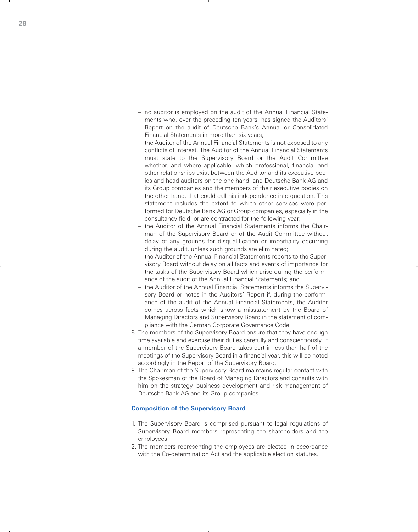- no auditor is employed on the audit of the Annual Financial Statements who, over the preceding ten years, has signed the Auditors' Report on the audit of Deutsche Bank's Annual or Consolidated Financial Statements in more than six years;
- the Auditor of the Annual Financial Statements is not exposed to any conflicts of interest. The Auditor of the Annual Financial Statements must state to the Supervisory Board or the Audit Committee whether, and where applicable, which professional, financial and other relationships exist between the Auditor and its executive bodies and head auditors on the one hand, and Deutsche Bank AG and its Group companies and the members of their executive bodies on the other hand, that could call his independence into question. This statement includes the extent to which other services were performed for Deutsche Bank AG or Group companies, especially in the consultancy field, or are contracted for the following year;
- the Auditor of the Annual Financial Statements informs the Chairman of the Supervisory Board or of the Audit Committee without delay of any grounds for disqualification or impartiality occurring during the audit, unless such grounds are eliminated;
- the Auditor of the Annual Financial Statements reports to the Supervisory Board without delay on all facts and events of importance for the tasks of the Supervisory Board which arise during the performance of the audit of the Annual Financial Statements; and
- the Auditor of the Annual Financial Statements informs the Supervisory Board or notes in the Auditors' Report if, during the performance of the audit of the Annual Financial Statements, the Auditor comes across facts which show a misstatement by the Board of Managing Directors and Supervisory Board in the statement of compliance with the German Corporate Governance Code.
- 8. The members of the Supervisory Board ensure that they have enough time available and exercise their duties carefully and conscientiously. If a member of the Supervisory Board takes part in less than half of the meetings of the Supervisory Board in a financial year, this will be noted accordingly in the Report of the Supervisory Board.
- 9. The Chairman of the Supervisory Board maintains regular contact with the Spokesman of the Board of Managing Directors and consults with him on the strategy, business development and risk management of Deutsche Bank AG and its Group companies.

### **Composition of the Supervisory Board**

- 1. The Supervisory Board is comprised pursuant to legal regulations of Supervisory Board members representing the shareholders and the employees.
- 2. The members representing the employees are elected in accordance with the Co-determination Act and the applicable election statutes.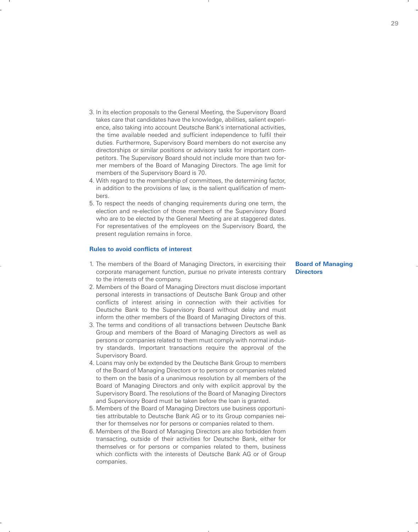- 3. In its election proposals to the General Meeting, the Supervisory Board takes care that candidates have the knowledge, abilities, salient experience, also taking into account Deutsche Bank's international activities, the time available needed and sufficient independence to fulfil their duties. Furthermore, Supervisory Board members do not exercise any directorships or similar positions or advisory tasks for important competitors. The Supervisory Board should not include more than two former members of the Board of Managing Directors. The age limit for members of the Supervisory Board is 70.
- 4. With regard to the membership of committees, the determining factor, in addition to the provisions of law, is the salient qualification of members.
- 5. To respect the needs of changing requirements during one term, the election and re-election of those members of the Supervisory Board who are to be elected by the General Meeting are at staggered dates. For representatives of the employees on the Supervisory Board, the present regulation remains in force.

### **Rules to avoid conflicts of interest**

- 1. The members of the Board of Managing Directors, in exercising their corporate management function, pursue no private interests contrary to the interests of the company.
- 2. Members of the Board of Managing Directors must disclose important personal interests in transactions of Deutsche Bank Group and other conflicts of interest arising in connection with their activities for Deutsche Bank to the Supervisory Board without delay and must inform the other members of the Board of Managing Directors of this.
- 3. The terms and conditions of all transactions between Deutsche Bank Group and members of the Board of Managing Directors as well as persons or companies related to them must comply with normal industry standards. Important transactions require the approval of the Supervisory Board.
- 4. Loans may only be extended by the Deutsche Bank Group to members of the Board of Managing Directors or to persons or companies related to them on the basis of a unanimous resolution by all members of the Board of Managing Directors and only with explicit approval by the Supervisory Board. The resolutions of the Board of Managing Directors and Supervisory Board must be taken before the loan is granted.
- 5. Members of the Board of Managing Directors use business opportunities attributable to Deutsche Bank AG or to its Group companies neither for themselves nor for persons or companies related to them.
- 6. Members of the Board of Managing Directors are also forbidden from transacting, outside of their activities for Deutsche Bank, either for themselves or for persons or companies related to them, business which conflicts with the interests of Deutsche Bank AG or of Group companies.

**Board of Managing Directors**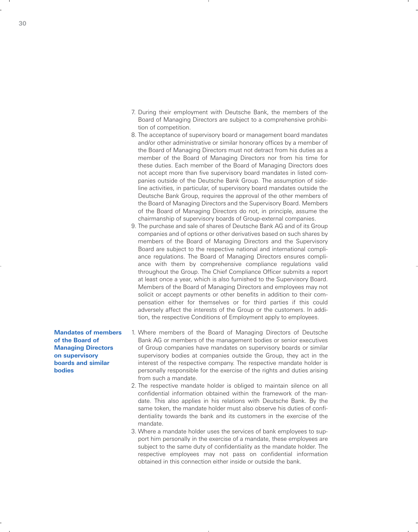- 7. During their employment with Deutsche Bank, the members of the Board of Managing Directors are subject to a comprehensive prohibition of competition.
- 8. The acceptance of supervisory board or management board mandates and/or other administrative or similar honorary offices by a member of the Board of Managing Directors must not detract from his duties as a member of the Board of Managing Directors nor from his time for these duties. Each member of the Board of Managing Directors does not accept more than five supervisory board mandates in listed companies outside of the Deutsche Bank Group. The assumption of sideline activities, in particular, of supervisory board mandates outside the Deutsche Bank Group, requires the approval of the other members of the Board of Managing Directors and the Supervisory Board. Members of the Board of Managing Directors do not, in principle, assume the chairmanship of supervisory boards of Group-external companies.
- 9. The purchase and sale of shares of Deutsche Bank AG and of its Group companies and of options or other derivatives based on such shares by members of the Board of Managing Directors and the Supervisory Board are subject to the respective national and international compliance regulations. The Board of Managing Directors ensures compliance with them by comprehensive compliance regulations valid throughout the Group. The Chief Compliance Officer submits a report at least once a year, which is also furnished to the Supervisory Board. Members of the Board of Managing Directors and employees may not solicit or accept payments or other benefits in addition to their compensation either for themselves or for third parties if this could adversely affect the interests of the Group or the customers. In addition, the respective Conditions of Employment apply to employees.

**Mandates of members of the Board of Managing Directors on supervisory boards and similar bodies**

- 1. Where members of the Board of Managing Directors of Deutsche Bank AG or members of the management bodies or senior executives of Group companies have mandates on supervisory boards or similar supervisory bodies at companies outside the Group, they act in the interest of the respective company. The respective mandate holder is personally responsible for the exercise of the rights and duties arising from such a mandate.
- 2. The respective mandate holder is obliged to maintain silence on all confidential information obtained within the framework of the mandate. This also applies in his relations with Deutsche Bank. By the same token, the mandate holder must also observe his duties of confidentiality towards the bank and its customers in the exercise of the mandate.
- 3. Where a mandate holder uses the services of bank employees to support him personally in the exercise of a mandate, these employees are subject to the same duty of confidentiality as the mandate holder. The respective employees may not pass on confidential information obtained in this connection either inside or outside the bank.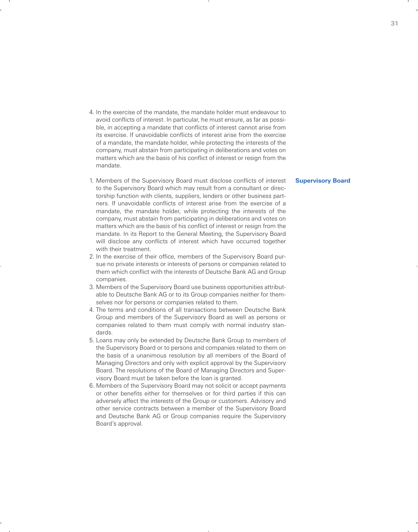- 4. In the exercise of the mandate, the mandate holder must endeavour to avoid conflicts of interest. In particular, he must ensure, as far as possible, in accepting a mandate that conflicts of interest cannot arise from its exercise. If unavoidable conflicts of interest arise from the exercise of a mandate, the mandate holder, while protecting the interests of the company, must abstain from participating in deliberations and votes on matters which are the basis of his conflict of interest or resign from the mandate.
- 1. Members of the Supervisory Board must disclose conflicts of interest to the Supervisory Board which may result from a consultant or directorship function with clients, suppliers, lenders or other business partners. If unavoidable conflicts of interest arise from the exercise of a mandate, the mandate holder, while protecting the interests of the company, must abstain from participating in deliberations and votes on matters which are the basis of his conflict of interest or resign from the mandate. In its Report to the General Meeting, the Supervisory Board will disclose any conflicts of interest which have occurred together with their treatment.
- 2. In the exercise of their office, members of the Supervisory Board pursue no private interests or interests of persons or companies related to them which conflict with the interests of Deutsche Bank AG and Group companies.
- 3. Members of the Supervisory Board use business opportunities attributable to Deutsche Bank AG or to its Group companies neither for themselves nor for persons or companies related to them.
- 4. The terms and conditions of all transactions between Deutsche Bank Group and members of the Supervisory Board as well as persons or companies related to them must comply with normal industry standards.
- 5. Loans may only be extended by Deutsche Bank Group to members of the Supervisory Board or to persons and companies related to them on the basis of a unanimous resolution by all members of the Board of Managing Directors and only with explicit approval by the Supervisory Board. The resolutions of the Board of Managing Directors and Supervisory Board must be taken before the loan is granted.
- 6. Members of the Supervisory Board may not solicit or accept payments or other benefits either for themselves or for third parties if this can adversely affect the interests of the Group or customers. Advisory and other service contracts between a member of the Supervisory Board and Deutsche Bank AG or Group companies require the Supervisory Board's approval.

### **Supervisory Board**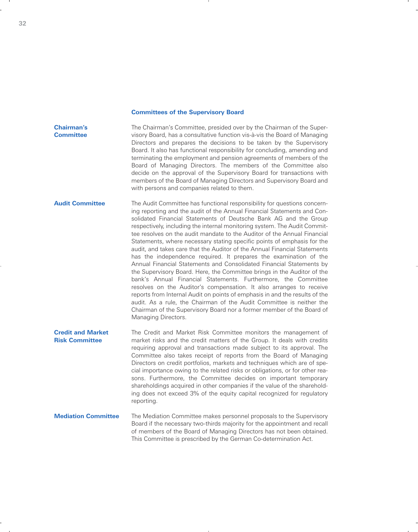### **Committees of the Supervisory Board**

**Chairman's Committee** The Chairman's Committee, presided over by the Chairman of the Supervisory Board, has a consultative function vis-à-vis the Board of Managing Directors and prepares the decisions to be taken by the Supervisory Board. It also has functional responsibility for concluding, amending and terminating the employment and pension agreements of members of the Board of Managing Directors. The members of the Committee also decide on the approval of the Supervisory Board for transactions with members of the Board of Managing Directors and Supervisory Board and with persons and companies related to them.

**Audit Committee** The Audit Committee has functional responsibility for questions concerning reporting and the audit of the Annual Financial Statements and Consolidated Financial Statements of Deutsche Bank AG and the Group respectively, including the internal monitoring system. The Audit Committee resolves on the audit mandate to the Auditor of the Annual Financial Statements, where necessary stating specific points of emphasis for the audit, and takes care that the Auditor of the Annual Financial Statements has the independence required. It prepares the examination of the Annual Financial Statements and Consolidated Financial Statements by the Supervisory Board. Here, the Committee brings in the Auditor of the bank's Annual Financial Statements. Furthermore, the Committee resolves on the Auditor's compensation. It also arranges to receive reports from Internal Audit on points of emphasis in and the results of the audit. As a rule, the Chairman of the Audit Committee is neither the Chairman of the Supervisory Board nor a former member of the Board of Managing Directors.

**Credit and Market Risk Committee** The Credit and Market Risk Committee monitors the management of market risks and the credit matters of the Group. It deals with credits requiring approval and transactions made subject to its approval. The Committee also takes receipt of reports from the Board of Managing Directors on credit portfolios, markets and techniques which are of special importance owing to the related risks or obligations, or for other reasons. Furthermore, the Committee decides on important temporary shareholdings acquired in other companies if the value of the shareholding does not exceed 3% of the equity capital recognized for regulatory reporting.

#### **Mediation Committee** The Mediation Committee makes personnel proposals to the Supervisory Board if the necessary two-thirds majority for the appointment and recall of members of the Board of Managing Directors has not been obtained. This Committee is prescribed by the German Co-determination Act.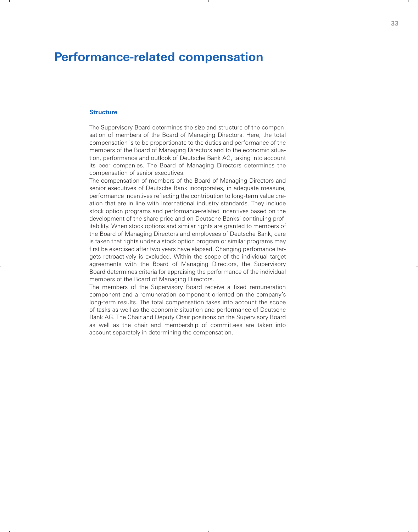## **Performance-related compensation**

### **Structure**

The Supervisory Board determines the size and structure of the compensation of members of the Board of Managing Directors. Here, the total compensation is to be proportionate to the duties and performance of the members of the Board of Managing Directors and to the economic situation, performance and outlook of Deutsche Bank AG, taking into account its peer companies. The Board of Managing Directors determines the compensation of senior executives.

The compensation of members of the Board of Managing Directors and senior executives of Deutsche Bank incorporates, in adequate measure, performance incentives reflecting the contribution to long-term value creation that are in line with international industry standards. They include stock option programs and performance-related incentives based on the development of the share price and on Deutsche Banks' continuing profitability. When stock options and similar rights are granted to members of the Board of Managing Directors and employees of Deutsche Bank, care is taken that rights under a stock option program or similar programs may first be exercised after two years have elapsed. Changing perfomance targets retroactively is excluded. Within the scope of the individual target agreements with the Board of Managing Directors, the Supervisory Board determines criteria for appraising the performance of the individual members of the Board of Managing Directors.

The members of the Supervisory Board receive a fixed remuneration component and a remuneration component oriented on the company's long-term results. The total compensation takes into account the scope of tasks as well as the economic situation and performance of Deutsche Bank AG. The Chair and Deputy Chair positions on the Supervisory Board as well as the chair and membership of committees are taken into account separately in determining the compensation.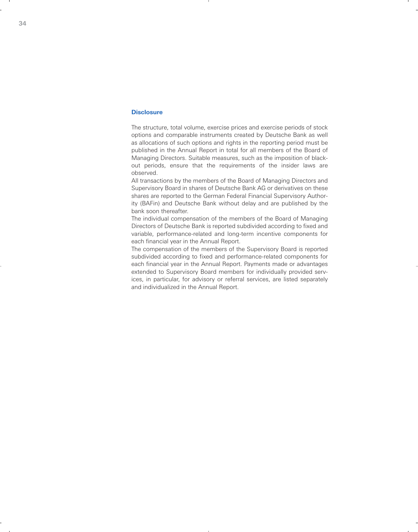### **Disclosure**

The structure, total volume, exercise prices and exercise periods of stock options and comparable instruments created by Deutsche Bank as well as allocations of such options and rights in the reporting period must be published in the Annual Report in total for all members of the Board of Managing Directors. Suitable measures, such as the imposition of blackout periods, ensure that the requirements of the insider laws are observed.

All transactions by the members of the Board of Managing Directors and Supervisory Board in shares of Deutsche Bank AG or derivatives on these shares are reported to the German Federal Financial Supervisory Authority (BAFin) and Deutsche Bank without delay and are published by the bank soon thereafter.

The individual compensation of the members of the Board of Managing Directors of Deutsche Bank is reported subdivided according to fixed and variable, performance-related and long-term incentive components for each financial year in the Annual Report.

The compensation of the members of the Supervisory Board is reported subdivided according to fixed and performance-related components for each financial year in the Annual Report. Payments made or advantages extended to Supervisory Board members for individually provided services, in particular, for advisory or referral services, are listed separately and individualized in the Annual Report.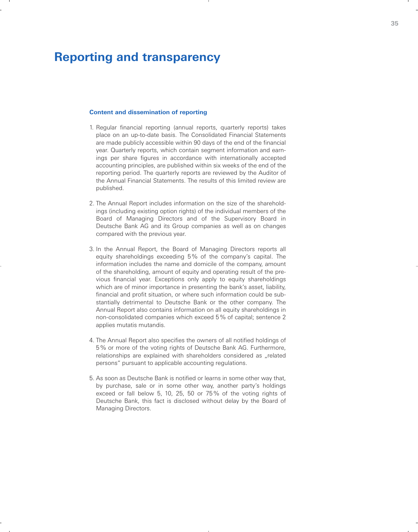### **Reporting and transparency**

### **Content and dissemination of reporting**

- 1. Regular financial reporting (annual reports, quarterly reports) takes place on an up-to-date basis. The Consolidated Financial Statements are made publicly accessible within 90 days of the end of the financial year. Quarterly reports, which contain segment information and earnings per share figures in accordance with internationally accepted accounting principles, are published within six weeks of the end of the reporting period. The quarterly reports are reviewed by the Auditor of the Annual Financial Statements. The results of this limited review are published.
- 2. The Annual Report includes information on the size of the shareholdings (including existing option rights) of the individual members of the Board of Managing Directors and of the Supervisory Board in Deutsche Bank AG and its Group companies as well as on changes compared with the previous year.
- 3. In the Annual Report, the Board of Managing Directors reports all equity shareholdings exceeding 5 % of the company's capital. The information includes the name and domicile of the company, amount of the shareholding, amount of equity and operating result of the previous financial year. Exceptions only apply to equity shareholdings which are of minor importance in presenting the bank's asset, liability, financial and profit situation, or where such information could be substantially detrimental to Deutsche Bank or the other company. The Annual Report also contains information on all equity shareholdings in non-consolidated companies which exceed 5 % of capital; sentence 2 applies mutatis mutandis.
- 4. The Annual Report also specifies the owners of all notified holdings of 5 % or more of the voting rights of Deutsche Bank AG. Furthermore, relationships are explained with shareholders considered as "related persons" pursuant to applicable accounting regulations.
- 5. As soon as Deutsche Bank is notified or learns in some other way that, by purchase, sale or in some other way, another party's holdings exceed or fall below 5, 10, 25, 50 or 75 % of the voting rights of Deutsche Bank, this fact is disclosed without delay by the Board of Managing Directors.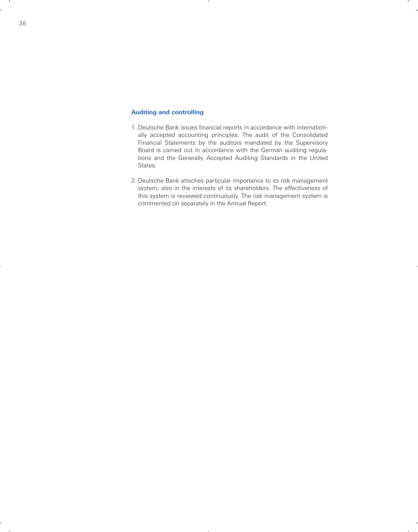### **Auditing and controlling**

- 1. Deutsche Bank issues financial reports in accordance with internationally accepted accounting principles. The audit of the Consolidated Financial Statements by the auditors mandated by the Supervisory Board is carried out in accordance with the German auditing regulations and the Generally Accepted Auditing Standards in the United States.
- 2. Deutsche Bank attaches particular importance to its risk management system, also in the interests of its shareholders. The effectiveness of this system is reviewed continuously. The risk management system is commented on separately in the Annual Report.